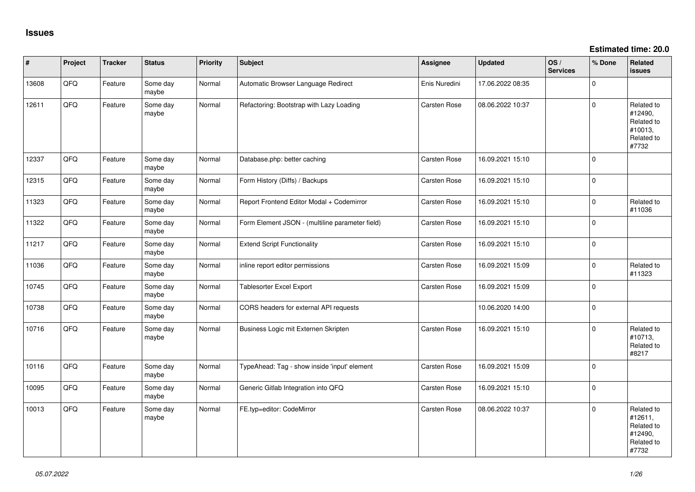**Estimated time: 20.0**

| #     | Project | <b>Tracker</b> | <b>Status</b>     | <b>Priority</b> | <b>Subject</b>                                  | Assignee            | <b>Updated</b>   | OS/<br><b>Services</b> | % Done   | Related<br><b>issues</b>                                              |
|-------|---------|----------------|-------------------|-----------------|-------------------------------------------------|---------------------|------------------|------------------------|----------|-----------------------------------------------------------------------|
| 13608 | QFQ     | Feature        | Some day<br>maybe | Normal          | Automatic Browser Language Redirect             | Enis Nuredini       | 17.06.2022 08:35 |                        | $\Omega$ |                                                                       |
| 12611 | QFQ     | Feature        | Some day<br>maybe | Normal          | Refactoring: Bootstrap with Lazy Loading        | Carsten Rose        | 08.06.2022 10:37 |                        | $\Omega$ | Related to<br>#12490,<br>Related to<br>#10013,<br>Related to<br>#7732 |
| 12337 | QFQ     | Feature        | Some day<br>maybe | Normal          | Database.php: better caching                    | Carsten Rose        | 16.09.2021 15:10 |                        | $\Omega$ |                                                                       |
| 12315 | QFQ     | Feature        | Some day<br>maybe | Normal          | Form History (Diffs) / Backups                  | Carsten Rose        | 16.09.2021 15:10 |                        | $\Omega$ |                                                                       |
| 11323 | QFQ     | Feature        | Some day<br>maybe | Normal          | Report Frontend Editor Modal + Codemirror       | Carsten Rose        | 16.09.2021 15:10 |                        | $\Omega$ | Related to<br>#11036                                                  |
| 11322 | QFQ     | Feature        | Some day<br>maybe | Normal          | Form Element JSON - (multiline parameter field) | Carsten Rose        | 16.09.2021 15:10 |                        | $\Omega$ |                                                                       |
| 11217 | QFQ     | Feature        | Some day<br>maybe | Normal          | <b>Extend Script Functionality</b>              | Carsten Rose        | 16.09.2021 15:10 |                        | $\Omega$ |                                                                       |
| 11036 | QFQ     | Feature        | Some day<br>maybe | Normal          | inline report editor permissions                | Carsten Rose        | 16.09.2021 15:09 |                        | $\Omega$ | Related to<br>#11323                                                  |
| 10745 | QFQ     | Feature        | Some day<br>maybe | Normal          | <b>Tablesorter Excel Export</b>                 | Carsten Rose        | 16.09.2021 15:09 |                        | $\Omega$ |                                                                       |
| 10738 | QFQ     | Feature        | Some day<br>maybe | Normal          | CORS headers for external API requests          |                     | 10.06.2020 14:00 |                        | l 0      |                                                                       |
| 10716 | QFQ     | Feature        | Some day<br>maybe | Normal          | Business Logic mit Externen Skripten            | Carsten Rose        | 16.09.2021 15:10 |                        | $\Omega$ | Related to<br>#10713,<br>Related to<br>#8217                          |
| 10116 | QFQ     | Feature        | Some day<br>maybe | Normal          | TypeAhead: Tag - show inside 'input' element    | Carsten Rose        | 16.09.2021 15:09 |                        | l o      |                                                                       |
| 10095 | QFQ     | Feature        | Some day<br>maybe | Normal          | Generic Gitlab Integration into QFQ             | Carsten Rose        | 16.09.2021 15:10 |                        | I۵       |                                                                       |
| 10013 | QFQ     | Feature        | Some day<br>maybe | Normal          | FE.typ=editor: CodeMirror                       | <b>Carsten Rose</b> | 08.06.2022 10:37 |                        | $\Omega$ | Related to<br>#12611,<br>Related to<br>#12490,<br>Related to<br>#7732 |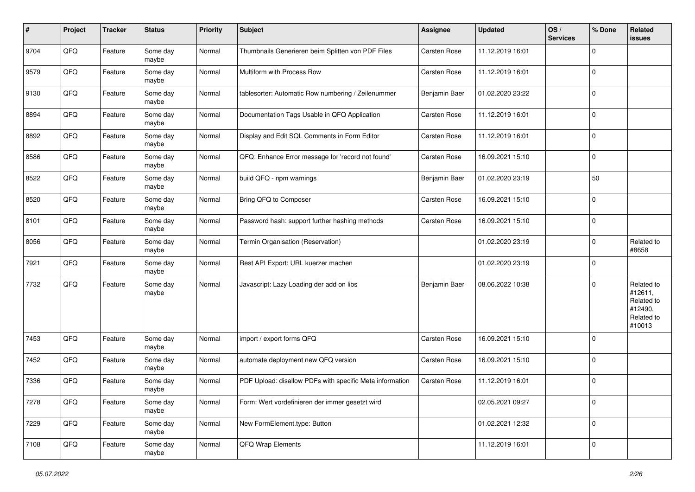| #    | Project | <b>Tracker</b> | <b>Status</b>     | <b>Priority</b> | <b>Subject</b>                                           | Assignee            | <b>Updated</b>   | OS/<br><b>Services</b> | % Done      | Related<br>issues                                                      |
|------|---------|----------------|-------------------|-----------------|----------------------------------------------------------|---------------------|------------------|------------------------|-------------|------------------------------------------------------------------------|
| 9704 | QFQ     | Feature        | Some day<br>maybe | Normal          | Thumbnails Generieren beim Splitten von PDF Files        | Carsten Rose        | 11.12.2019 16:01 |                        | $\mathbf 0$ |                                                                        |
| 9579 | QFQ     | Feature        | Some day<br>maybe | Normal          | Multiform with Process Row                               | Carsten Rose        | 11.12.2019 16:01 |                        | $\mathbf 0$ |                                                                        |
| 9130 | QFQ     | Feature        | Some day<br>maybe | Normal          | tablesorter: Automatic Row numbering / Zeilenummer       | Benjamin Baer       | 01.02.2020 23:22 |                        | $\mathbf 0$ |                                                                        |
| 8894 | QFQ     | Feature        | Some day<br>maybe | Normal          | Documentation Tags Usable in QFQ Application             | Carsten Rose        | 11.12.2019 16:01 |                        | l 0         |                                                                        |
| 8892 | QFQ     | Feature        | Some day<br>maybe | Normal          | Display and Edit SQL Comments in Form Editor             | <b>Carsten Rose</b> | 11.12.2019 16:01 |                        | l O         |                                                                        |
| 8586 | QFQ     | Feature        | Some day<br>maybe | Normal          | QFQ: Enhance Error message for 'record not found'        | Carsten Rose        | 16.09.2021 15:10 |                        | $\Omega$    |                                                                        |
| 8522 | QFQ     | Feature        | Some day<br>maybe | Normal          | build QFQ - npm warnings                                 | Benjamin Baer       | 01.02.2020 23:19 |                        | 50          |                                                                        |
| 8520 | QFQ     | Feature        | Some day<br>maybe | Normal          | Bring QFQ to Composer                                    | Carsten Rose        | 16.09.2021 15:10 |                        | 0           |                                                                        |
| 8101 | QFQ     | Feature        | Some day<br>maybe | Normal          | Password hash: support further hashing methods           | Carsten Rose        | 16.09.2021 15:10 |                        | 0           |                                                                        |
| 8056 | QFQ     | Feature        | Some day<br>maybe | Normal          | Termin Organisation (Reservation)                        |                     | 01.02.2020 23:19 |                        | $\mathbf 0$ | Related to<br>#8658                                                    |
| 7921 | QFQ     | Feature        | Some day<br>maybe | Normal          | Rest API Export: URL kuerzer machen                      |                     | 01.02.2020 23:19 |                        | l 0         |                                                                        |
| 7732 | QFQ     | Feature        | Some day<br>maybe | Normal          | Javascript: Lazy Loading der add on libs                 | Benjamin Baer       | 08.06.2022 10:38 |                        | l 0         | Related to<br>#12611,<br>Related to<br>#12490,<br>Related to<br>#10013 |
| 7453 | QFQ     | Feature        | Some day<br>maybe | Normal          | import / export forms QFQ                                | <b>Carsten Rose</b> | 16.09.2021 15:10 |                        | 0           |                                                                        |
| 7452 | QFQ     | Feature        | Some day<br>maybe | Normal          | automate deployment new QFQ version                      | Carsten Rose        | 16.09.2021 15:10 |                        | l 0         |                                                                        |
| 7336 | QFQ     | Feature        | Some day<br>maybe | Normal          | PDF Upload: disallow PDFs with specific Meta information | <b>Carsten Rose</b> | 11.12.2019 16:01 |                        | l 0         |                                                                        |
| 7278 | QFQ     | Feature        | Some day<br>maybe | Normal          | Form: Wert vordefinieren der immer gesetzt wird          |                     | 02.05.2021 09:27 |                        | l 0         |                                                                        |
| 7229 | QFQ     | Feature        | Some day<br>maybe | Normal          | New FormElement.type: Button                             |                     | 01.02.2021 12:32 |                        | 0           |                                                                        |
| 7108 | QFQ     | Feature        | Some day<br>maybe | Normal          | QFQ Wrap Elements                                        |                     | 11.12.2019 16:01 |                        | $\mathbf 0$ |                                                                        |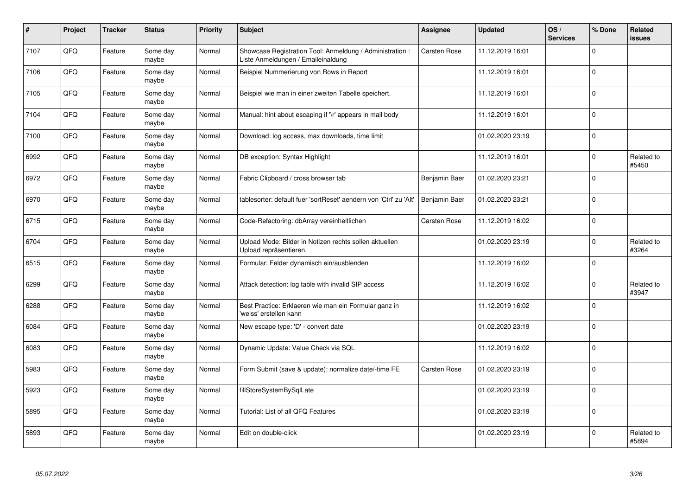| $\pmb{\#}$ | Project | <b>Tracker</b> | <b>Status</b>     | <b>Priority</b> | <b>Subject</b>                                                                                 | Assignee            | <b>Updated</b>   | OS/<br><b>Services</b> | % Done   | Related<br><b>issues</b> |
|------------|---------|----------------|-------------------|-----------------|------------------------------------------------------------------------------------------------|---------------------|------------------|------------------------|----------|--------------------------|
| 7107       | QFQ     | Feature        | Some day<br>maybe | Normal          | Showcase Registration Tool: Anmeldung / Administration :<br>Liste Anmeldungen / Emaileinaldung | Carsten Rose        | 11.12.2019 16:01 |                        | $\Omega$ |                          |
| 7106       | QFQ     | Feature        | Some dav<br>maybe | Normal          | Beispiel Nummerierung von Rows in Report                                                       |                     | 11.12.2019 16:01 |                        | I٥       |                          |
| 7105       | QFQ     | Feature        | Some day<br>maybe | Normal          | Beispiel wie man in einer zweiten Tabelle speichert.                                           |                     | 11.12.2019 16:01 |                        | l O      |                          |
| 7104       | QFQ     | Feature        | Some day<br>maybe | Normal          | Manual: hint about escaping if '\r' appears in mail body                                       |                     | 11.12.2019 16:01 |                        | ١o       |                          |
| 7100       | QFQ     | Feature        | Some day<br>maybe | Normal          | Download: log access, max downloads, time limit                                                |                     | 01.02.2020 23:19 |                        | I٥       |                          |
| 6992       | QFQ     | Feature        | Some day<br>maybe | Normal          | DB exception: Syntax Highlight                                                                 |                     | 11.12.2019 16:01 |                        | I٥       | Related to<br>#5450      |
| 6972       | QFQ     | Feature        | Some day<br>maybe | Normal          | Fabric Clipboard / cross browser tab                                                           | Benjamin Baer       | 01.02.2020 23:21 |                        | l 0      |                          |
| 6970       | QFQ     | Feature        | Some day<br>maybe | Normal          | tablesorter: default fuer 'sortReset' aendern von 'Ctrl' zu 'Alt'                              | Benjamin Baer       | 01.02.2020 23:21 |                        | l o      |                          |
| 6715       | QFQ     | Feature        | Some day<br>maybe | Normal          | Code-Refactoring: dbArray vereinheitlichen                                                     | <b>Carsten Rose</b> | 11.12.2019 16:02 |                        | I٥       |                          |
| 6704       | QFQ     | Feature        | Some day<br>maybe | Normal          | Upload Mode: Bilder in Notizen rechts sollen aktuellen<br>Upload repräsentieren.               |                     | 01.02.2020 23:19 |                        | $\Omega$ | Related to<br>#3264      |
| 6515       | QFQ     | Feature        | Some dav<br>maybe | Normal          | Formular: Felder dynamisch ein/ausblenden                                                      |                     | 11.12.2019 16:02 |                        | I٥       |                          |
| 6299       | QFQ     | Feature        | Some day<br>maybe | Normal          | Attack detection: log table with invalid SIP access                                            |                     | 11.12.2019 16:02 |                        | $\Omega$ | Related to<br>#3947      |
| 6288       | QFQ     | Feature        | Some day<br>maybe | Normal          | Best Practice: Erklaeren wie man ein Formular ganz in<br>'weiss' erstellen kann                |                     | 11.12.2019 16:02 |                        | I٥       |                          |
| 6084       | QFQ     | Feature        | Some day<br>maybe | Normal          | New escape type: 'D' - convert date                                                            |                     | 01.02.2020 23:19 |                        | I٥       |                          |
| 6083       | QFQ     | Feature        | Some day<br>maybe | Normal          | Dynamic Update: Value Check via SQL                                                            |                     | 11.12.2019 16:02 |                        | I٥       |                          |
| 5983       | QFQ     | Feature        | Some day<br>maybe | Normal          | Form Submit (save & update): normalize date/-time FE                                           | <b>Carsten Rose</b> | 01.02.2020 23:19 |                        | ١o       |                          |
| 5923       | QFQ     | Feature        | Some day<br>maybe | Normal          | fillStoreSystemBySqlLate                                                                       |                     | 01.02.2020 23:19 |                        | I٥       |                          |
| 5895       | QFQ     | Feature        | Some day<br>maybe | Normal          | Tutorial: List of all QFQ Features                                                             |                     | 01.02.2020 23:19 |                        | I٥       |                          |
| 5893       | QFQ     | Feature        | Some day<br>maybe | Normal          | Edit on double-click                                                                           |                     | 01.02.2020 23:19 |                        | $\Omega$ | Related to<br>#5894      |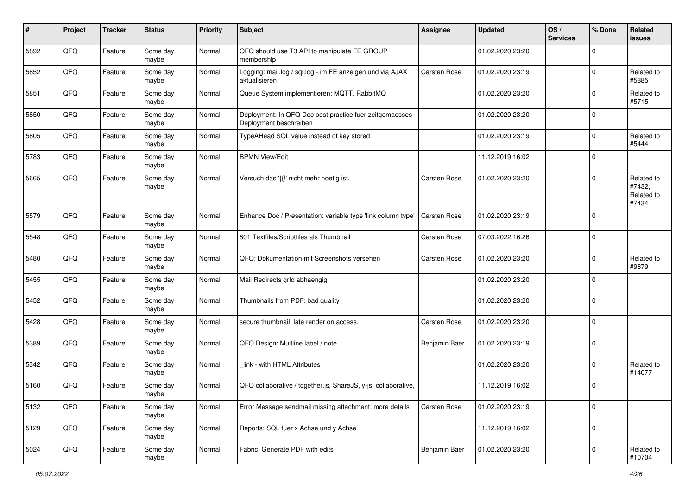| #    | Project | <b>Tracker</b> | <b>Status</b>     | <b>Priority</b> | <b>Subject</b>                                                                    | <b>Assignee</b> | <b>Updated</b>   | OS/<br><b>Services</b> | % Done      | Related<br><b>issues</b>                    |
|------|---------|----------------|-------------------|-----------------|-----------------------------------------------------------------------------------|-----------------|------------------|------------------------|-------------|---------------------------------------------|
| 5892 | QFQ     | Feature        | Some day<br>maybe | Normal          | QFQ should use T3 API to manipulate FE GROUP<br>membership                        |                 | 01.02.2020 23:20 |                        | $\mathbf 0$ |                                             |
| 5852 | QFQ     | Feature        | Some day<br>maybe | Normal          | Logging: mail.log / sql.log - im FE anzeigen und via AJAX<br>aktualisieren        | Carsten Rose    | 01.02.2020 23:19 |                        | $\mathbf 0$ | Related to<br>#5885                         |
| 5851 | QFQ     | Feature        | Some day<br>maybe | Normal          | Queue System implementieren: MQTT, RabbitMQ                                       |                 | 01.02.2020 23:20 |                        | $\Omega$    | Related to<br>#5715                         |
| 5850 | QFQ     | Feature        | Some day<br>maybe | Normal          | Deployment: In QFQ Doc best practice fuer zeitgemaesses<br>Deployment beschreiben |                 | 01.02.2020 23:20 |                        | $\mathbf 0$ |                                             |
| 5805 | QFQ     | Feature        | Some day<br>maybe | Normal          | TypeAHead SQL value instead of key stored                                         |                 | 01.02.2020 23:19 |                        | $\Omega$    | Related to<br>#5444                         |
| 5783 | QFQ     | Feature        | Some day<br>maybe | Normal          | <b>BPMN View/Edit</b>                                                             |                 | 11.12.2019 16:02 |                        | $\mathbf 0$ |                                             |
| 5665 | QFQ     | Feature        | Some day<br>maybe | Normal          | Versuch das '{{!' nicht mehr noetig ist.                                          | Carsten Rose    | 01.02.2020 23:20 |                        | $\Omega$    | Related to<br>#7432,<br>Related to<br>#7434 |
| 5579 | QFQ     | Feature        | Some day<br>maybe | Normal          | Enhance Doc / Presentation: variable type 'link column type'                      | Carsten Rose    | 01.02.2020 23:19 |                        | $\mathbf 0$ |                                             |
| 5548 | QFQ     | Feature        | Some day<br>maybe | Normal          | 801 Textfiles/Scriptfiles als Thumbnail                                           | Carsten Rose    | 07.03.2022 16:26 |                        | $\Omega$    |                                             |
| 5480 | QFQ     | Feature        | Some day<br>maybe | Normal          | QFQ: Dokumentation mit Screenshots versehen                                       | Carsten Rose    | 01.02.2020 23:20 |                        | $\mathbf 0$ | Related to<br>#9879                         |
| 5455 | QFQ     | Feature        | Some day<br>maybe | Normal          | Mail Redirects grld abhaengig                                                     |                 | 01.02.2020 23:20 |                        | 0           |                                             |
| 5452 | QFQ     | Feature        | Some day<br>maybe | Normal          | Thumbnails from PDF: bad quality                                                  |                 | 01.02.2020 23:20 |                        | $\mathbf 0$ |                                             |
| 5428 | QFQ     | Feature        | Some day<br>maybe | Normal          | secure thumbnail: late render on access.                                          | Carsten Rose    | 01.02.2020 23:20 |                        | $\mathbf 0$ |                                             |
| 5389 | QFQ     | Feature        | Some day<br>maybe | Normal          | QFQ Design: Multline label / note                                                 | Benjamin Baer   | 01.02.2020 23:19 |                        | $\mathbf 0$ |                                             |
| 5342 | QFQ     | Feature        | Some day<br>maybe | Normal          | link - with HTML Attributes                                                       |                 | 01.02.2020 23:20 |                        | $\mathbf 0$ | Related to<br>#14077                        |
| 5160 | QFQ     | Feature        | Some day<br>maybe | Normal          | QFQ collaborative / together.js, ShareJS, y-js, collaborative,                    |                 | 11.12.2019 16:02 |                        | $\Omega$    |                                             |
| 5132 | QFQ     | Feature        | Some day<br>maybe | Normal          | Error Message sendmail missing attachment: more details                           | Carsten Rose    | 01.02.2020 23:19 |                        | 0           |                                             |
| 5129 | QFQ     | Feature        | Some day<br>maybe | Normal          | Reports: SQL fuer x Achse und y Achse                                             |                 | 11.12.2019 16:02 |                        | 0           |                                             |
| 5024 | QFQ     | Feature        | Some day<br>maybe | Normal          | Fabric: Generate PDF with edits                                                   | Benjamin Baer   | 01.02.2020 23:20 |                        | $\mathbf 0$ | Related to<br>#10704                        |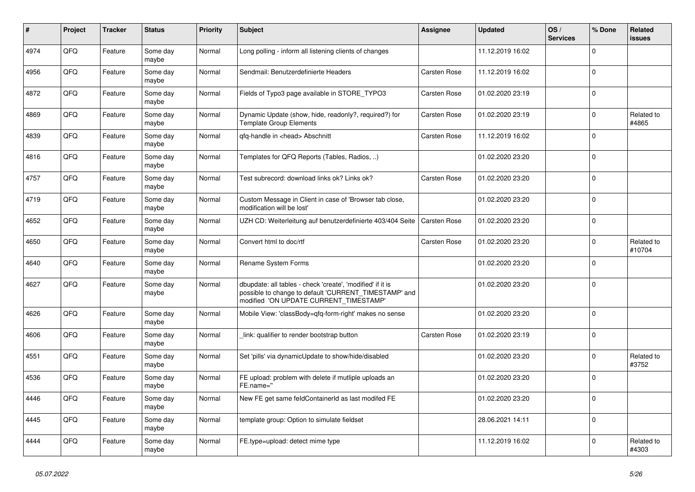| $\pmb{\sharp}$ | <b>Project</b> | <b>Tracker</b> | <b>Status</b>     | <b>Priority</b> | <b>Subject</b>                                                                                                                                                | Assignee     | <b>Updated</b>   | OS/<br><b>Services</b> | % Done      | <b>Related</b><br>issues |
|----------------|----------------|----------------|-------------------|-----------------|---------------------------------------------------------------------------------------------------------------------------------------------------------------|--------------|------------------|------------------------|-------------|--------------------------|
| 4974           | QFQ            | Feature        | Some day<br>maybe | Normal          | Long polling - inform all listening clients of changes                                                                                                        |              | 11.12.2019 16:02 |                        | $\Omega$    |                          |
| 4956           | QFQ            | Feature        | Some day<br>maybe | Normal          | Sendmail: Benutzerdefinierte Headers                                                                                                                          | Carsten Rose | 11.12.2019 16:02 |                        | $\mathbf 0$ |                          |
| 4872           | QFQ            | Feature        | Some day<br>maybe | Normal          | Fields of Typo3 page available in STORE_TYPO3                                                                                                                 | Carsten Rose | 01.02.2020 23:19 |                        | $\mathbf 0$ |                          |
| 4869           | QFQ            | Feature        | Some day<br>maybe | Normal          | Dynamic Update (show, hide, readonly?, required?) for<br><b>Template Group Elements</b>                                                                       | Carsten Rose | 01.02.2020 23:19 |                        | $\Omega$    | Related to<br>#4865      |
| 4839           | QFQ            | Feature        | Some day<br>maybe | Normal          | qfq-handle in <head> Abschnitt</head>                                                                                                                         | Carsten Rose | 11.12.2019 16:02 |                        | $\mathbf 0$ |                          |
| 4816           | QFQ            | Feature        | Some day<br>maybe | Normal          | Templates for QFQ Reports (Tables, Radios, )                                                                                                                  |              | 01.02.2020 23:20 |                        | $\mathbf 0$ |                          |
| 4757           | QFQ            | Feature        | Some day<br>maybe | Normal          | Test subrecord: download links ok? Links ok?                                                                                                                  | Carsten Rose | 01.02.2020 23:20 |                        | $\Omega$    |                          |
| 4719           | QFQ            | Feature        | Some day<br>maybe | Normal          | Custom Message in Client in case of 'Browser tab close,<br>modification will be lost'                                                                         |              | 01.02.2020 23:20 |                        | $\mathbf 0$ |                          |
| 4652           | QFQ            | Feature        | Some day<br>maybe | Normal          | UZH CD: Weiterleitung auf benutzerdefinierte 403/404 Seite                                                                                                    | Carsten Rose | 01.02.2020 23:20 |                        | $\Omega$    |                          |
| 4650           | QFQ            | Feature        | Some day<br>maybe | Normal          | Convert html to doc/rtf                                                                                                                                       | Carsten Rose | 01.02.2020 23:20 |                        | $\Omega$    | Related to<br>#10704     |
| 4640           | QFQ            | Feature        | Some day<br>maybe | Normal          | Rename System Forms                                                                                                                                           |              | 01.02.2020 23:20 |                        | $\mathbf 0$ |                          |
| 4627           | QFQ            | Feature        | Some day<br>maybe | Normal          | dbupdate: all tables - check 'create', 'modified' if it is<br>possible to change to default 'CURRENT TIMESTAMP' and<br>modified 'ON UPDATE CURRENT_TIMESTAMP' |              | 01.02.2020 23:20 |                        | $\mathbf 0$ |                          |
| 4626           | QFQ            | Feature        | Some day<br>maybe | Normal          | Mobile View: 'classBody=qfq-form-right' makes no sense                                                                                                        |              | 01.02.2020 23:20 |                        | $\mathbf 0$ |                          |
| 4606           | QFQ            | Feature        | Some day<br>maybe | Normal          | link: qualifier to render bootstrap button                                                                                                                    | Carsten Rose | 01.02.2020 23:19 |                        | $\mathbf 0$ |                          |
| 4551           | QFQ            | Feature        | Some day<br>maybe | Normal          | Set 'pills' via dynamicUpdate to show/hide/disabled                                                                                                           |              | 01.02.2020 23:20 |                        | $\mathbf 0$ | Related to<br>#3752      |
| 4536           | QFQ            | Feature        | Some day<br>maybe | Normal          | FE upload: problem with delete if mutliple uploads an<br>FE.name="                                                                                            |              | 01.02.2020 23:20 |                        | $\Omega$    |                          |
| 4446           | QFQ            | Feature        | Some day<br>maybe | Normal          | New FE get same feldContainerId as last modifed FE                                                                                                            |              | 01.02.2020 23:20 |                        | $\Omega$    |                          |
| 4445           | QFQ            | Feature        | Some day<br>maybe | Normal          | template group: Option to simulate fieldset                                                                                                                   |              | 28.06.2021 14:11 |                        | $\mathbf 0$ |                          |
| 4444           | QFQ            | Feature        | Some day<br>maybe | Normal          | FE.type=upload: detect mime type                                                                                                                              |              | 11.12.2019 16:02 |                        | $\Omega$    | Related to<br>#4303      |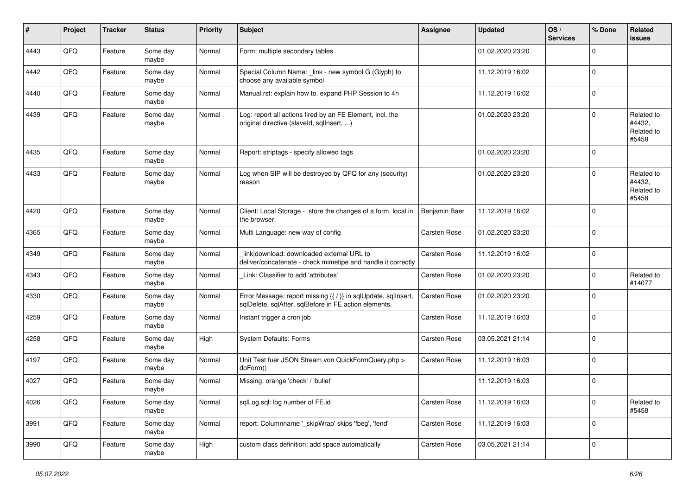| #    | Project | <b>Tracker</b> | <b>Status</b>     | <b>Priority</b> | <b>Subject</b>                                                                                                          | <b>Assignee</b> | <b>Updated</b>   | OS/<br><b>Services</b> | % Done      | Related<br><b>issues</b>                    |
|------|---------|----------------|-------------------|-----------------|-------------------------------------------------------------------------------------------------------------------------|-----------------|------------------|------------------------|-------------|---------------------------------------------|
| 4443 | QFQ     | Feature        | Some day<br>maybe | Normal          | Form: multiple secondary tables                                                                                         |                 | 01.02.2020 23:20 |                        | $\mathbf 0$ |                                             |
| 4442 | QFQ     | Feature        | Some day<br>maybe | Normal          | Special Column Name: _link - new symbol G (Glyph) to<br>choose any available symbol                                     |                 | 11.12.2019 16:02 |                        | $\mathbf 0$ |                                             |
| 4440 | QFQ     | Feature        | Some day<br>maybe | Normal          | Manual.rst: explain how to. expand PHP Session to 4h                                                                    |                 | 11.12.2019 16:02 |                        | $\mathbf 0$ |                                             |
| 4439 | QFQ     | Feature        | Some day<br>maybe | Normal          | Log: report all actions fired by an FE Element, incl. the<br>original directive (slaveld, sqllnsert, )                  |                 | 01.02.2020 23:20 |                        | $\mathbf 0$ | Related to<br>#4432,<br>Related to<br>#5458 |
| 4435 | QFQ     | Feature        | Some day<br>maybe | Normal          | Report: striptags - specify allowed tags                                                                                |                 | 01.02.2020 23:20 |                        | $\mathbf 0$ |                                             |
| 4433 | QFQ     | Feature        | Some day<br>maybe | Normal          | Log when SIP will be destroyed by QFQ for any (security)<br>reason                                                      |                 | 01.02.2020 23:20 |                        | $\mathbf 0$ | Related to<br>#4432,<br>Related to<br>#5458 |
| 4420 | QFQ     | Feature        | Some day<br>maybe | Normal          | Client: Local Storage - store the changes of a form, local in<br>the browser.                                           | Benjamin Baer   | 11.12.2019 16:02 |                        | $\mathbf 0$ |                                             |
| 4365 | QFQ     | Feature        | Some day<br>maybe | Normal          | Multi Language: new way of config                                                                                       | Carsten Rose    | 01.02.2020 23:20 |                        | $\mathbf 0$ |                                             |
| 4349 | QFQ     | Feature        | Some day<br>maybe | Normal          | link download: downloaded external URL to<br>deliver/concatenate - check mimetipe and handle it correctly               | Carsten Rose    | 11.12.2019 16:02 |                        | $\mathbf 0$ |                                             |
| 4343 | QFQ     | Feature        | Some day<br>maybe | Normal          | Link: Classifier to add 'attributes'                                                                                    | Carsten Rose    | 01.02.2020 23:20 |                        | $\mathbf 0$ | Related to<br>#14077                        |
| 4330 | QFQ     | Feature        | Some day<br>maybe | Normal          | Error Message: report missing {{ / }} in sqlUpdate, sqlInsert,<br>sqlDelete, sqlAfter, sqlBefore in FE action elements. | Carsten Rose    | 01.02.2020 23:20 |                        | $\mathbf 0$ |                                             |
| 4259 | QFQ     | Feature        | Some day<br>maybe | Normal          | Instant trigger a cron job                                                                                              | Carsten Rose    | 11.12.2019 16:03 |                        | $\mathbf 0$ |                                             |
| 4258 | QFQ     | Feature        | Some day<br>maybe | High            | System Defaults: Forms                                                                                                  | Carsten Rose    | 03.05.2021 21:14 |                        | $\mathbf 0$ |                                             |
| 4197 | QFQ     | Feature        | Some day<br>maybe | Normal          | Unit Test fuer JSON Stream von QuickFormQuery.php ><br>doForm()                                                         | Carsten Rose    | 11.12.2019 16:03 |                        | $\mathbf 0$ |                                             |
| 4027 | QFQ     | Feature        | Some day<br>maybe | Normal          | Missing: orange 'check' / 'bullet'                                                                                      |                 | 11.12.2019 16:03 |                        | $\mathbf 0$ |                                             |
| 4026 | QFQ     | Feature        | Some day<br>maybe | Normal          | salLog.sal: log number of FE.id                                                                                         | Carsten Rose    | 11.12.2019 16:03 |                        | $\mathbf 0$ | Related to<br>#5458                         |
| 3991 | QFQ     | Feature        | Some day<br>maybe | Normal          | report: Columnname '_skipWrap' skips 'fbeg', 'fend'                                                                     | Carsten Rose    | 11.12.2019 16:03 |                        | $\mathbf 0$ |                                             |
| 3990 | QFQ     | Feature        | Some day<br>maybe | High            | custom class definition: add space automatically                                                                        | Carsten Rose    | 03.05.2021 21:14 |                        | $\mathbf 0$ |                                             |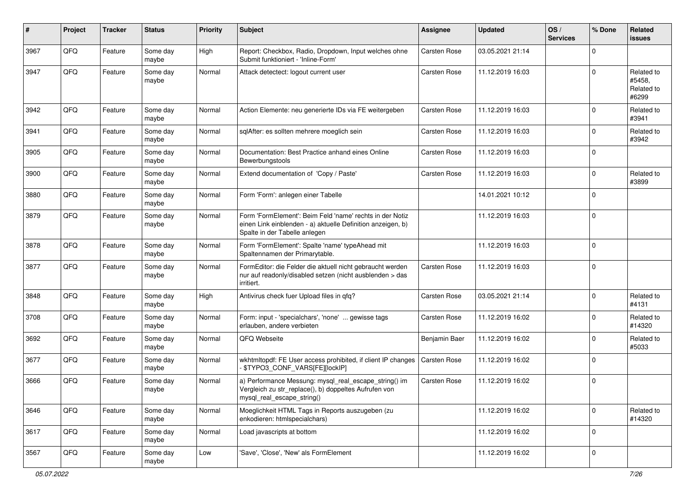| $\#$ | Project | <b>Tracker</b> | <b>Status</b>     | <b>Priority</b> | <b>Subject</b>                                                                                                                                           | <b>Assignee</b> | <b>Updated</b>   | OS/<br><b>Services</b> | % Done      | Related<br><b>issues</b>                    |
|------|---------|----------------|-------------------|-----------------|----------------------------------------------------------------------------------------------------------------------------------------------------------|-----------------|------------------|------------------------|-------------|---------------------------------------------|
| 3967 | QFQ     | Feature        | Some day<br>maybe | High            | Report: Checkbox, Radio, Dropdown, Input welches ohne<br>Submit funktioniert - 'Inline-Form'                                                             | Carsten Rose    | 03.05.2021 21:14 |                        | $\Omega$    |                                             |
| 3947 | QFQ     | Feature        | Some day<br>maybe | Normal          | Attack detectect: logout current user                                                                                                                    | Carsten Rose    | 11.12.2019 16:03 |                        | $\mathbf 0$ | Related to<br>#5458,<br>Related to<br>#6299 |
| 3942 | QFQ     | Feature        | Some day<br>maybe | Normal          | Action Elemente: neu generierte IDs via FE weitergeben                                                                                                   | Carsten Rose    | 11.12.2019 16:03 |                        | $\mathbf 0$ | Related to<br>#3941                         |
| 3941 | QFQ     | Feature        | Some day<br>maybe | Normal          | sqlAfter: es sollten mehrere moeglich sein                                                                                                               | Carsten Rose    | 11.12.2019 16:03 |                        | $\mathbf 0$ | Related to<br>#3942                         |
| 3905 | QFQ     | Feature        | Some day<br>maybe | Normal          | Documentation: Best Practice anhand eines Online<br>Bewerbungstools                                                                                      | Carsten Rose    | 11.12.2019 16:03 |                        | $\mathbf 0$ |                                             |
| 3900 | QFQ     | Feature        | Some day<br>maybe | Normal          | Extend documentation of 'Copy / Paste'                                                                                                                   | Carsten Rose    | 11.12.2019 16:03 |                        | $\mathbf 0$ | Related to<br>#3899                         |
| 3880 | QFQ     | Feature        | Some day<br>maybe | Normal          | Form 'Form': anlegen einer Tabelle                                                                                                                       |                 | 14.01.2021 10:12 |                        | $\mathbf 0$ |                                             |
| 3879 | QFQ     | Feature        | Some day<br>maybe | Normal          | Form 'FormElement': Beim Feld 'name' rechts in der Notiz<br>einen Link einblenden - a) aktuelle Definition anzeigen, b)<br>Spalte in der Tabelle anlegen |                 | 11.12.2019 16:03 |                        | $\mathbf 0$ |                                             |
| 3878 | QFQ     | Feature        | Some day<br>maybe | Normal          | Form 'FormElement': Spalte 'name' typeAhead mit<br>Spaltennamen der Primarytable.                                                                        |                 | 11.12.2019 16:03 |                        | $\mathbf 0$ |                                             |
| 3877 | QFQ     | Feature        | Some day<br>maybe | Normal          | FormEditor: die Felder die aktuell nicht gebraucht werden<br>nur auf readonly/disabled setzen (nicht ausblenden > das<br>irritiert.                      | Carsten Rose    | 11.12.2019 16:03 |                        | $\mathbf 0$ |                                             |
| 3848 | QFQ     | Feature        | Some day<br>maybe | High            | Antivirus check fuer Upload files in qfq?                                                                                                                | Carsten Rose    | 03.05.2021 21:14 |                        | $\Omega$    | Related to<br>#4131                         |
| 3708 | QFQ     | Feature        | Some day<br>maybe | Normal          | Form: input - 'specialchars', 'none'  gewisse tags<br>erlauben, andere verbieten                                                                         | Carsten Rose    | 11.12.2019 16:02 |                        | $\mathbf 0$ | Related to<br>#14320                        |
| 3692 | QFQ     | Feature        | Some day<br>maybe | Normal          | QFQ Webseite                                                                                                                                             | Benjamin Baer   | 11.12.2019 16:02 |                        | $\mathbf 0$ | Related to<br>#5033                         |
| 3677 | QFQ     | Feature        | Some day<br>maybe | Normal          | wkhtmltopdf: FE User access prohibited, if client IP changes<br>- \$TYPO3_CONF_VARS[FE][lockIP]                                                          | Carsten Rose    | 11.12.2019 16:02 |                        | $\mathbf 0$ |                                             |
| 3666 | QFQ     | Feature        | Some day<br>maybe | Normal          | a) Performance Messung: mysql_real_escape_string() im<br>Vergleich zu str_replace(), b) doppeltes Aufrufen von<br>mysql_real_escape_string()             | Carsten Rose    | 11.12.2019 16:02 |                        | $\mathbf 0$ |                                             |
| 3646 | QFQ     | Feature        | Some day<br>maybe | Normal          | Moeglichkeit HTML Tags in Reports auszugeben (zu<br>enkodieren: htmlspecialchars)                                                                        |                 | 11.12.2019 16:02 |                        | $\mathbf 0$ | Related to<br>#14320                        |
| 3617 | QFQ     | Feature        | Some day<br>maybe | Normal          | Load javascripts at bottom                                                                                                                               |                 | 11.12.2019 16:02 |                        | $\mathbf 0$ |                                             |
| 3567 | QFQ     | Feature        | Some day<br>maybe | Low             | 'Save', 'Close', 'New' als FormElement                                                                                                                   |                 | 11.12.2019 16:02 |                        | $\mathbf 0$ |                                             |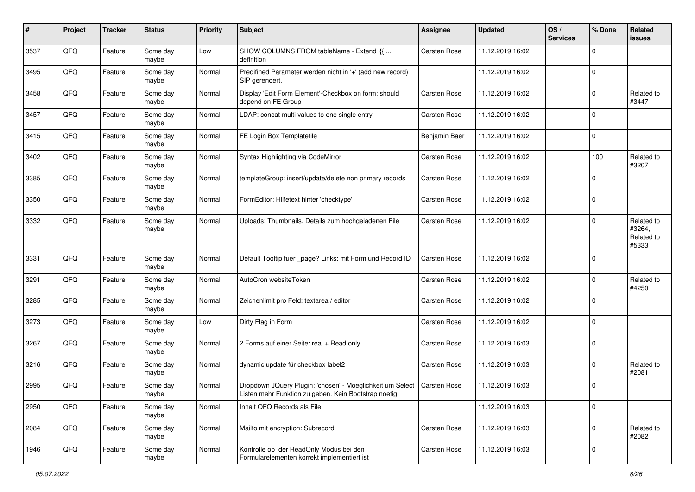| #    | Project | <b>Tracker</b> | <b>Status</b>     | <b>Priority</b> | <b>Subject</b>                                                                                                                    | <b>Assignee</b>     | <b>Updated</b>   | OS/<br><b>Services</b> | % Done      | Related<br>issues                           |
|------|---------|----------------|-------------------|-----------------|-----------------------------------------------------------------------------------------------------------------------------------|---------------------|------------------|------------------------|-------------|---------------------------------------------|
| 3537 | QFQ     | Feature        | Some day<br>maybe | Low             | SHOW COLUMNS FROM tableName - Extend '{{!'<br>definition                                                                          | <b>Carsten Rose</b> | 11.12.2019 16:02 |                        | $\Omega$    |                                             |
| 3495 | QFQ     | Feature        | Some day<br>maybe | Normal          | Predifined Parameter werden nicht in '+' (add new record)<br>SIP gerendert.                                                       |                     | 11.12.2019 16:02 |                        | $\mathbf 0$ |                                             |
| 3458 | QFQ     | Feature        | Some dav<br>maybe | Normal          | Display 'Edit Form Element'-Checkbox on form: should<br>depend on FE Group                                                        | <b>Carsten Rose</b> | 11.12.2019 16:02 |                        | $\Omega$    | Related to<br>#3447                         |
| 3457 | QFQ     | Feature        | Some day<br>maybe | Normal          | LDAP: concat multi values to one single entry                                                                                     | Carsten Rose        | 11.12.2019 16:02 |                        | l 0         |                                             |
| 3415 | QFQ     | Feature        | Some day<br>maybe | Normal          | FE Login Box Templatefile                                                                                                         | Benjamin Baer       | 11.12.2019 16:02 |                        | $\mathbf 0$ |                                             |
| 3402 | QFQ     | Feature        | Some day<br>maybe | Normal          | Syntax Highlighting via CodeMirror                                                                                                | Carsten Rose        | 11.12.2019 16:02 |                        | 100         | Related to<br>#3207                         |
| 3385 | QFQ     | Feature        | Some day<br>maybe | Normal          | templateGroup: insert/update/delete non primary records                                                                           | <b>Carsten Rose</b> | 11.12.2019 16:02 |                        | $\mathbf 0$ |                                             |
| 3350 | QFQ     | Feature        | Some day<br>maybe | Normal          | FormEditor: Hilfetext hinter 'checktype'                                                                                          | <b>Carsten Rose</b> | 11.12.2019 16:02 |                        | l 0         |                                             |
| 3332 | QFQ     | Feature        | Some day<br>maybe | Normal          | Uploads: Thumbnails, Details zum hochgeladenen File                                                                               | Carsten Rose        | 11.12.2019 16:02 |                        | $\mathbf 0$ | Related to<br>#3264,<br>Related to<br>#5333 |
| 3331 | QFQ     | Feature        | Some day<br>maybe | Normal          | Default Tooltip fuer _page? Links: mit Form und Record ID                                                                         | Carsten Rose        | 11.12.2019 16:02 |                        | l 0         |                                             |
| 3291 | QFQ     | Feature        | Some day<br>maybe | Normal          | AutoCron websiteToken                                                                                                             | <b>Carsten Rose</b> | 11.12.2019 16:02 |                        | l 0         | Related to<br>#4250                         |
| 3285 | QFQ     | Feature        | Some day<br>maybe | Normal          | Zeichenlimit pro Feld: textarea / editor                                                                                          | Carsten Rose        | 11.12.2019 16:02 |                        | $\Omega$    |                                             |
| 3273 | QFQ     | Feature        | Some day<br>maybe | Low             | Dirty Flag in Form                                                                                                                | Carsten Rose        | 11.12.2019 16:02 |                        | I٥          |                                             |
| 3267 | QFQ     | Feature        | Some day<br>maybe | Normal          | 2 Forms auf einer Seite: real + Read only                                                                                         | Carsten Rose        | 11.12.2019 16:03 |                        | $\Omega$    |                                             |
| 3216 | QFQ     | Feature        | Some day<br>maybe | Normal          | dynamic update für checkbox label2                                                                                                | Carsten Rose        | 11.12.2019 16:03 |                        | $\Omega$    | Related to<br>#2081                         |
| 2995 | QFQ     | Feature        | Some day<br>maybe | Normal          | Dropdown JQuery Plugin: 'chosen' - Moeglichkeit um Select   Carsten Rose<br>Listen mehr Funktion zu geben. Kein Bootstrap noetig. |                     | 11.12.2019 16:03 |                        | $\Omega$    |                                             |
| 2950 | QFG     | Feature        | Some day<br>maybe | Normal          | Inhalt QFQ Records als File                                                                                                       |                     | 11.12.2019 16:03 |                        | l O         |                                             |
| 2084 | QFG     | Feature        | Some day<br>maybe | Normal          | Mailto mit encryption: Subrecord                                                                                                  | Carsten Rose        | 11.12.2019 16:03 |                        | l 0         | Related to<br>#2082                         |
| 1946 | QFG     | Feature        | Some day<br>maybe | Normal          | Kontrolle ob der ReadOnly Modus bei den<br>Formularelementen korrekt implementiert ist                                            | Carsten Rose        | 11.12.2019 16:03 |                        | l O         |                                             |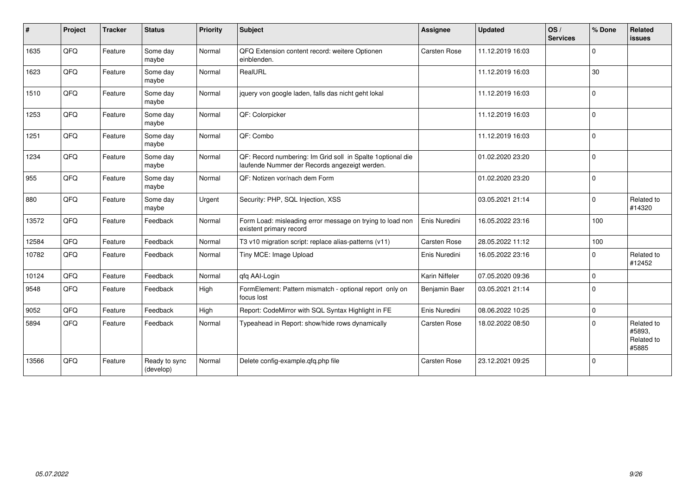| #     | Project | <b>Tracker</b> | <b>Status</b>              | <b>Priority</b> | <b>Subject</b>                                                                                              | <b>Assignee</b>     | <b>Updated</b>   | OS/<br><b>Services</b> | % Done       | Related<br><b>issues</b>                    |
|-------|---------|----------------|----------------------------|-----------------|-------------------------------------------------------------------------------------------------------------|---------------------|------------------|------------------------|--------------|---------------------------------------------|
| 1635  | QFQ     | Feature        | Some day<br>maybe          | Normal          | QFQ Extension content record: weitere Optionen<br>einblenden.                                               | <b>Carsten Rose</b> | 11.12.2019 16:03 |                        | $\Omega$     |                                             |
| 1623  | QFQ     | Feature        | Some day<br>maybe          | Normal          | RealURL                                                                                                     |                     | 11.12.2019 16:03 |                        | 30           |                                             |
| 1510  | QFQ     | Feature        | Some day<br>maybe          | Normal          | jquery von google laden, falls das nicht geht lokal                                                         |                     | 11.12.2019 16:03 |                        | $\Omega$     |                                             |
| 1253  | QFQ     | Feature        | Some day<br>maybe          | Normal          | QF: Colorpicker                                                                                             |                     | 11.12.2019 16:03 |                        | $\Omega$     |                                             |
| 1251  | QFQ     | Feature        | Some day<br>maybe          | Normal          | QF: Combo                                                                                                   |                     | 11.12.2019 16:03 |                        | $\mathbf{0}$ |                                             |
| 1234  | QFQ     | Feature        | Some day<br>maybe          | Normal          | QF: Record numbering: Im Grid soll in Spalte 1optional die<br>laufende Nummer der Records angezeigt werden. |                     | 01.02.2020 23:20 |                        | $\mathbf{0}$ |                                             |
| 955   | QFQ     | Feature        | Some day<br>maybe          | Normal          | QF: Notizen vor/nach dem Form                                                                               |                     | 01.02.2020 23:20 |                        | $\Omega$     |                                             |
| 880   | QFQ     | Feature        | Some day<br>maybe          | Urgent          | Security: PHP, SQL Injection, XSS                                                                           |                     | 03.05.2021 21:14 |                        | $\mathbf 0$  | Related to<br>#14320                        |
| 13572 | QFQ     | Feature        | Feedback                   | Normal          | Form Load: misleading error message on trying to load non<br>existent primary record                        | Enis Nuredini       | 16.05.2022 23:16 |                        | 100          |                                             |
| 12584 | QFQ     | Feature        | Feedback                   | Normal          | T3 v10 migration script: replace alias-patterns (v11)                                                       | Carsten Rose        | 28.05.2022 11:12 |                        | 100          |                                             |
| 10782 | QFQ     | Feature        | Feedback                   | Normal          | Tiny MCE: Image Upload                                                                                      | Enis Nuredini       | 16.05.2022 23:16 |                        | $\Omega$     | Related to<br>#12452                        |
| 10124 | QFQ     | Feature        | Feedback                   | Normal          | qfq AAI-Login                                                                                               | Karin Niffeler      | 07.05.2020 09:36 |                        | $\Omega$     |                                             |
| 9548  | QFQ     | Feature        | Feedback                   | High            | FormElement: Pattern mismatch - optional report only on<br>focus lost                                       | Benjamin Baer       | 03.05.2021 21:14 |                        | $\Omega$     |                                             |
| 9052  | QFQ     | Feature        | Feedback                   | High            | Report: CodeMirror with SQL Syntax Highlight in FE                                                          | Enis Nuredini       | 08.06.2022 10:25 |                        | $\mathbf 0$  |                                             |
| 5894  | QFQ     | Feature        | Feedback                   | Normal          | Typeahead in Report: show/hide rows dynamically                                                             | Carsten Rose        | 18.02.2022 08:50 |                        | $\Omega$     | Related to<br>#5893,<br>Related to<br>#5885 |
| 13566 | QFQ     | Feature        | Ready to sync<br>(develop) | Normal          | Delete config-example.qfq.php file                                                                          | <b>Carsten Rose</b> | 23.12.2021 09:25 |                        | l 0          |                                             |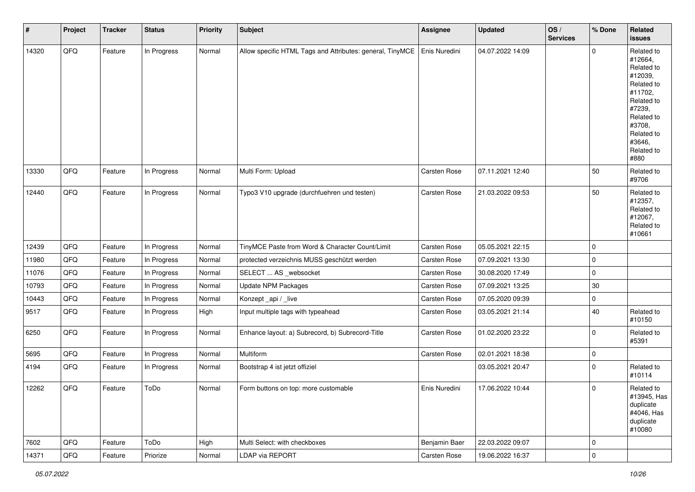| #     | Project | <b>Tracker</b> | <b>Status</b> | Priority | <b>Subject</b>                                            | <b>Assignee</b> | <b>Updated</b>   | OS/<br><b>Services</b> | % Done      | Related<br>issues                                                                                                                                                     |
|-------|---------|----------------|---------------|----------|-----------------------------------------------------------|-----------------|------------------|------------------------|-------------|-----------------------------------------------------------------------------------------------------------------------------------------------------------------------|
| 14320 | QFQ     | Feature        | In Progress   | Normal   | Allow specific HTML Tags and Attributes: general, TinyMCE | Enis Nuredini   | 04.07.2022 14:09 |                        | $\Omega$    | Related to<br>#12664,<br>Related to<br>#12039,<br>Related to<br>#11702,<br>Related to<br>#7239,<br>Related to<br>#3708,<br>Related to<br>#3646,<br>Related to<br>#880 |
| 13330 | QFQ     | Feature        | In Progress   | Normal   | Multi Form: Upload                                        | Carsten Rose    | 07.11.2021 12:40 |                        | 50          | Related to<br>#9706                                                                                                                                                   |
| 12440 | QFQ     | Feature        | In Progress   | Normal   | Typo3 V10 upgrade (durchfuehren und testen)               | Carsten Rose    | 21.03.2022 09:53 |                        | 50          | Related to<br>#12357,<br>Related to<br>#12067,<br>Related to<br>#10661                                                                                                |
| 12439 | QFQ     | Feature        | In Progress   | Normal   | TinyMCE Paste from Word & Character Count/Limit           | Carsten Rose    | 05.05.2021 22:15 |                        | 0           |                                                                                                                                                                       |
| 11980 | QFQ     | Feature        | In Progress   | Normal   | protected verzeichnis MUSS geschützt werden               | Carsten Rose    | 07.09.2021 13:30 |                        | $\mathbf 0$ |                                                                                                                                                                       |
| 11076 | QFQ     | Feature        | In Progress   | Normal   | SELECT  AS _websocket                                     | Carsten Rose    | 30.08.2020 17:49 |                        | 0           |                                                                                                                                                                       |
| 10793 | QFQ     | Feature        | In Progress   | Normal   | <b>Update NPM Packages</b>                                | Carsten Rose    | 07.09.2021 13:25 |                        | $30\,$      |                                                                                                                                                                       |
| 10443 | QFQ     | Feature        | In Progress   | Normal   | Konzept_api / _live                                       | Carsten Rose    | 07.05.2020 09:39 |                        | 0           |                                                                                                                                                                       |
| 9517  | QFQ     | Feature        | In Progress   | High     | Input multiple tags with typeahead                        | Carsten Rose    | 03.05.2021 21:14 |                        | 40          | Related to<br>#10150                                                                                                                                                  |
| 6250  | QFQ     | Feature        | In Progress   | Normal   | Enhance layout: a) Subrecord, b) Subrecord-Title          | Carsten Rose    | 01.02.2020 23:22 |                        | $\mathbf 0$ | Related to<br>#5391                                                                                                                                                   |
| 5695  | QFQ     | Feature        | In Progress   | Normal   | Multiform                                                 | Carsten Rose    | 02.01.2021 18:38 |                        | $\pmb{0}$   |                                                                                                                                                                       |
| 4194  | QFQ     | Feature        | In Progress   | Normal   | Bootstrap 4 ist jetzt offiziel                            |                 | 03.05.2021 20:47 |                        | $\mathbf 0$ | Related to<br>#10114                                                                                                                                                  |
| 12262 | QFQ     | Feature        | ToDo          | Normal   | Form buttons on top: more customable                      | Enis Nuredini   | 17.06.2022 10:44 |                        | $\mathbf 0$ | Related to<br>#13945, Has<br>duplicate<br>#4046, Has<br>duplicate<br>#10080                                                                                           |
| 7602  | QFQ     | Feature        | ToDo          | High     | Multi Select: with checkboxes                             | Benjamin Baer   | 22.03.2022 09:07 |                        | $\mathbf 0$ |                                                                                                                                                                       |
| 14371 | QFG     | Feature        | Priorize      | Normal   | LDAP via REPORT                                           | Carsten Rose    | 19.06.2022 16:37 |                        | $\pmb{0}$   |                                                                                                                                                                       |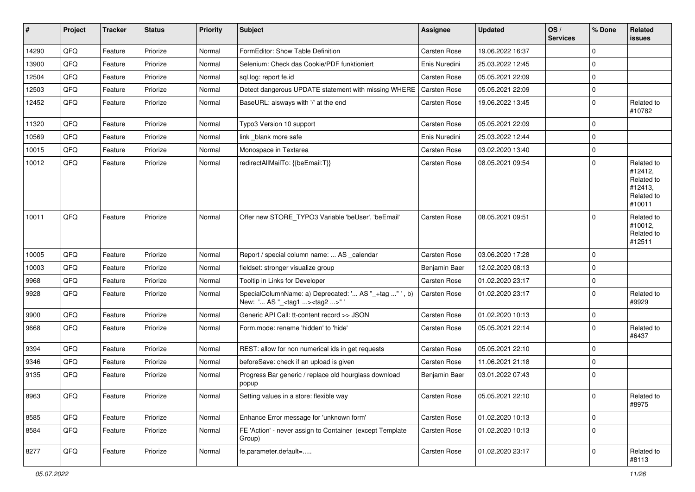| $\vert$ # | Project | <b>Tracker</b> | <b>Status</b> | <b>Priority</b> | Subject                                                                                            | <b>Assignee</b> | <b>Updated</b>   | OS/<br><b>Services</b> | % Done      | Related<br><b>issues</b>                                               |
|-----------|---------|----------------|---------------|-----------------|----------------------------------------------------------------------------------------------------|-----------------|------------------|------------------------|-------------|------------------------------------------------------------------------|
| 14290     | QFQ     | Feature        | Priorize      | Normal          | FormEditor: Show Table Definition                                                                  | Carsten Rose    | 19.06.2022 16:37 |                        | $\mathbf 0$ |                                                                        |
| 13900     | QFQ     | Feature        | Priorize      | Normal          | Selenium: Check das Cookie/PDF funktioniert                                                        | Enis Nuredini   | 25.03.2022 12:45 |                        | $\mathbf 0$ |                                                                        |
| 12504     | QFQ     | Feature        | Priorize      | Normal          | sql.log: report fe.id                                                                              | Carsten Rose    | 05.05.2021 22:09 |                        | $\mathbf 0$ |                                                                        |
| 12503     | QFQ     | Feature        | Priorize      | Normal          | Detect dangerous UPDATE statement with missing WHERE                                               | Carsten Rose    | 05.05.2021 22:09 |                        | $\mathbf 0$ |                                                                        |
| 12452     | QFQ     | Feature        | Priorize      | Normal          | BaseURL: alsways with '/' at the end                                                               | Carsten Rose    | 19.06.2022 13:45 |                        | $\mathbf 0$ | Related to<br>#10782                                                   |
| 11320     | QFQ     | Feature        | Priorize      | Normal          | Typo3 Version 10 support                                                                           | Carsten Rose    | 05.05.2021 22:09 |                        | $\mathbf 0$ |                                                                        |
| 10569     | QFQ     | Feature        | Priorize      | Normal          | link blank more safe                                                                               | Enis Nuredini   | 25.03.2022 12:44 |                        | $\mathbf 0$ |                                                                        |
| 10015     | QFQ     | Feature        | Priorize      | Normal          | Monospace in Textarea                                                                              | Carsten Rose    | 03.02.2020 13:40 |                        | $\mathbf 0$ |                                                                        |
| 10012     | QFQ     | Feature        | Priorize      | Normal          | redirectAllMailTo: {{beEmail:T}}                                                                   | Carsten Rose    | 08.05.2021 09:54 |                        | $\mathbf 0$ | Related to<br>#12412,<br>Related to<br>#12413,<br>Related to<br>#10011 |
| 10011     | QFQ     | Feature        | Priorize      | Normal          | Offer new STORE_TYPO3 Variable 'beUser', 'beEmail'                                                 | Carsten Rose    | 08.05.2021 09:51 |                        | $\mathbf 0$ | Related to<br>#10012,<br>Related to<br>#12511                          |
| 10005     | QFQ     | Feature        | Priorize      | Normal          | Report / special column name:  AS _calendar                                                        | Carsten Rose    | 03.06.2020 17:28 |                        | $\mathbf 0$ |                                                                        |
| 10003     | QFQ     | Feature        | Priorize      | Normal          | fieldset: stronger visualize group                                                                 | Benjamin Baer   | 12.02.2020 08:13 |                        | $\mathbf 0$ |                                                                        |
| 9968      | QFQ     | Feature        | Priorize      | Normal          | Tooltip in Links for Developer                                                                     | Carsten Rose    | 01.02.2020 23:17 |                        | $\mathbf 0$ |                                                                        |
| 9928      | QFQ     | Feature        | Priorize      | Normal          | SpecialColumnName: a) Deprecated: ' AS "_+tag " ', b)<br>New: ' AS "_ <tag1><tag2>"'</tag2></tag1> | Carsten Rose    | 01.02.2020 23:17 |                        | $\mathbf 0$ | Related to<br>#9929                                                    |
| 9900      | QFQ     | Feature        | Priorize      | Normal          | Generic API Call: tt-content record >> JSON                                                        | Carsten Rose    | 01.02.2020 10:13 |                        | $\mathbf 0$ |                                                                        |
| 9668      | QFQ     | Feature        | Priorize      | Normal          | Form.mode: rename 'hidden' to 'hide'                                                               | Carsten Rose    | 05.05.2021 22:14 |                        | $\mathbf 0$ | Related to<br>#6437                                                    |
| 9394      | QFQ     | Feature        | Priorize      | Normal          | REST: allow for non numerical ids in get requests                                                  | Carsten Rose    | 05.05.2021 22:10 |                        | $\mathbf 0$ |                                                                        |
| 9346      | QFQ     | Feature        | Priorize      | Normal          | beforeSave: check if an upload is given                                                            | Carsten Rose    | 11.06.2021 21:18 |                        | $\mathbf 0$ |                                                                        |
| 9135      | QFQ     | Feature        | Priorize      | Normal          | Progress Bar generic / replace old hourglass download<br>popup                                     | Benjamin Baer   | 03.01.2022 07:43 |                        | $\mathbf 0$ |                                                                        |
| 8963      | QFQ     | Feature        | Priorize      | Normal          | Setting values in a store: flexible way                                                            | Carsten Rose    | 05.05.2021 22:10 |                        | 0           | Related to<br>#8975                                                    |
| 8585      | QFQ     | Feature        | Priorize      | Normal          | Enhance Error message for 'unknown form'                                                           | Carsten Rose    | 01.02.2020 10:13 |                        | $\mathbf 0$ |                                                                        |
| 8584      | QFQ     | Feature        | Priorize      | Normal          | FE 'Action' - never assign to Container (except Template<br>Group)                                 | Carsten Rose    | 01.02.2020 10:13 |                        | $\mathbf 0$ |                                                                        |
| 8277      | QFQ     | Feature        | Priorize      | Normal          | fe.parameter.default=                                                                              | Carsten Rose    | 01.02.2020 23:17 |                        | $\mathbf 0$ | Related to<br>#8113                                                    |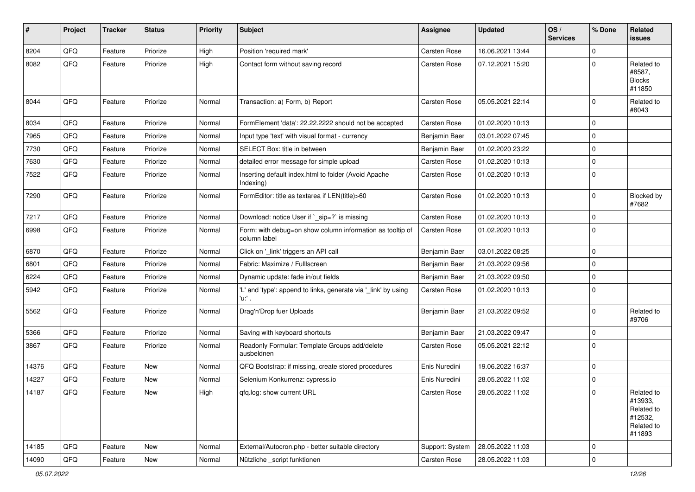| ∦     | Project        | <b>Tracker</b> | <b>Status</b> | Priority | Subject                                                                   | <b>Assignee</b> | <b>Updated</b>   | OS/<br><b>Services</b> | % Done      | Related<br><b>issues</b>                                               |
|-------|----------------|----------------|---------------|----------|---------------------------------------------------------------------------|-----------------|------------------|------------------------|-------------|------------------------------------------------------------------------|
| 8204  | QFQ            | Feature        | Priorize      | High     | Position 'required mark'                                                  | Carsten Rose    | 16.06.2021 13:44 |                        | $\Omega$    |                                                                        |
| 8082  | QFQ            | Feature        | Priorize      | High     | Contact form without saving record                                        | Carsten Rose    | 07.12.2021 15:20 |                        | 0           | Related to<br>#8587,<br><b>Blocks</b><br>#11850                        |
| 8044  | QFQ            | Feature        | Priorize      | Normal   | Transaction: a) Form, b) Report                                           | Carsten Rose    | 05.05.2021 22:14 |                        | $\mathbf 0$ | Related to<br>#8043                                                    |
| 8034  | QFQ            | Feature        | Priorize      | Normal   | FormElement 'data': 22.22.2222 should not be accepted                     | Carsten Rose    | 01.02.2020 10:13 |                        | 0           |                                                                        |
| 7965  | QFQ            | Feature        | Priorize      | Normal   | Input type 'text' with visual format - currency                           | Benjamin Baer   | 03.01.2022 07:45 |                        | $\mathbf 0$ |                                                                        |
| 7730  | QFQ            | Feature        | Priorize      | Normal   | SELECT Box: title in between                                              | Benjamin Baer   | 01.02.2020 23:22 |                        | $\mathbf 0$ |                                                                        |
| 7630  | QFQ            | Feature        | Priorize      | Normal   | detailed error message for simple upload                                  | Carsten Rose    | 01.02.2020 10:13 |                        | $\mathbf 0$ |                                                                        |
| 7522  | QFQ            | Feature        | Priorize      | Normal   | Inserting default index.html to folder (Avoid Apache<br>Indexing)         | Carsten Rose    | 01.02.2020 10:13 |                        | $\Omega$    |                                                                        |
| 7290  | QFQ            | Feature        | Priorize      | Normal   | FormEditor: title as textarea if LEN(title)>60                            | Carsten Rose    | 01.02.2020 10:13 |                        | $\mathbf 0$ | Blocked by<br>#7682                                                    |
| 7217  | QFQ            | Feature        | Priorize      | Normal   | Download: notice User if `_sip=?` is missing                              | Carsten Rose    | 01.02.2020 10:13 |                        | $\mathbf 0$ |                                                                        |
| 6998  | QFQ            | Feature        | Priorize      | Normal   | Form: with debug=on show column information as tooltip of<br>column label | Carsten Rose    | 01.02.2020 10:13 |                        | $\mathbf 0$ |                                                                        |
| 6870  | QFQ            | Feature        | Priorize      | Normal   | Click on '_link' triggers an API call                                     | Benjamin Baer   | 03.01.2022 08:25 |                        | $\Omega$    |                                                                        |
| 6801  | QFQ            | Feature        | Priorize      | Normal   | Fabric: Maximize / FullIscreen                                            | Benjamin Baer   | 21.03.2022 09:56 |                        | $\mathbf 0$ |                                                                        |
| 6224  | QFQ            | Feature        | Priorize      | Normal   | Dynamic update: fade in/out fields                                        | Benjamin Baer   | 21.03.2022 09:50 |                        | $\mathbf 0$ |                                                                        |
| 5942  | QFQ            | Feature        | Priorize      | Normal   | 'L' and 'type': append to links, generate via '_link' by using<br>'u:' .  | Carsten Rose    | 01.02.2020 10:13 |                        | $\mathbf 0$ |                                                                        |
| 5562  | QFQ            | Feature        | Priorize      | Normal   | Drag'n'Drop fuer Uploads                                                  | Benjamin Baer   | 21.03.2022 09:52 |                        | 0           | Related to<br>#9706                                                    |
| 5366  | QFQ            | Feature        | Priorize      | Normal   | Saving with keyboard shortcuts                                            | Benjamin Baer   | 21.03.2022 09:47 |                        | $\mathbf 0$ |                                                                        |
| 3867  | QFQ            | Feature        | Priorize      | Normal   | Readonly Formular: Template Groups add/delete<br>ausbeldnen               | Carsten Rose    | 05.05.2021 22:12 |                        | $\Omega$    |                                                                        |
| 14376 | QFQ            | Feature        | New           | Normal   | QFQ Bootstrap: if missing, create stored procedures                       | Enis Nuredini   | 19.06.2022 16:37 |                        | 0           |                                                                        |
| 14227 | QFQ            | Feature        | New           | Normal   | Selenium Konkurrenz: cypress.io                                           | Enis Nuredini   | 28.05.2022 11:02 |                        | $\mathbf 0$ |                                                                        |
| 14187 | QFG            | Feature        | New           | High     | qfq.log: show current URL                                                 | Carsten Rose    | 28.05.2022 11:02 |                        | $\Omega$    | Related to<br>#13933,<br>Related to<br>#12532,<br>Related to<br>#11893 |
| 14185 | QFQ            | Feature        | New           | Normal   | External/Autocron.php - better suitable directory                         | Support: System | 28.05.2022 11:03 |                        | $\mathbf 0$ |                                                                        |
| 14090 | $\mathsf{QFQ}$ | Feature        | New           | Normal   | Nützliche _script funktionen                                              | Carsten Rose    | 28.05.2022 11:03 |                        | $\mathbf 0$ |                                                                        |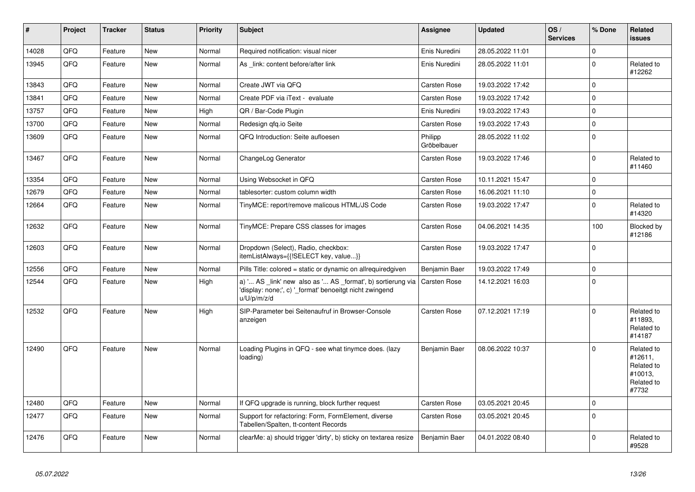| #     | Project | <b>Tracker</b> | <b>Status</b> | Priority | <b>Subject</b>                                                                                                                        | Assignee               | <b>Updated</b>   | OS/<br><b>Services</b> | % Done      | Related<br><b>issues</b>                                              |
|-------|---------|----------------|---------------|----------|---------------------------------------------------------------------------------------------------------------------------------------|------------------------|------------------|------------------------|-------------|-----------------------------------------------------------------------|
| 14028 | QFQ     | Feature        | <b>New</b>    | Normal   | Required notification: visual nicer                                                                                                   | Enis Nuredini          | 28.05.2022 11:01 |                        | $\Omega$    |                                                                       |
| 13945 | QFQ     | Feature        | New           | Normal   | As link: content before/after link                                                                                                    | Enis Nuredini          | 28.05.2022 11:01 |                        | $\mathbf 0$ | Related to<br>#12262                                                  |
| 13843 | QFQ     | Feature        | <b>New</b>    | Normal   | Create JWT via QFQ                                                                                                                    | Carsten Rose           | 19.03.2022 17:42 |                        | $\mathbf 0$ |                                                                       |
| 13841 | QFQ     | Feature        | New           | Normal   | Create PDF via iText - evaluate                                                                                                       | Carsten Rose           | 19.03.2022 17:42 |                        | $\mathbf 0$ |                                                                       |
| 13757 | QFQ     | Feature        | New           | High     | QR / Bar-Code Plugin                                                                                                                  | Enis Nuredini          | 19.03.2022 17:43 |                        | $\pmb{0}$   |                                                                       |
| 13700 | QFQ     | Feature        | New           | Normal   | Redesign qfq.io Seite                                                                                                                 | Carsten Rose           | 19.03.2022 17:43 |                        | $\mathbf 0$ |                                                                       |
| 13609 | QFQ     | Feature        | New           | Normal   | QFQ Introduction: Seite aufloesen                                                                                                     | Philipp<br>Gröbelbauer | 28.05.2022 11:02 |                        | $\mathbf 0$ |                                                                       |
| 13467 | QFQ     | Feature        | <b>New</b>    | Normal   | ChangeLog Generator                                                                                                                   | Carsten Rose           | 19.03.2022 17:46 |                        | $\mathbf 0$ | Related to<br>#11460                                                  |
| 13354 | QFQ     | Feature        | New           | Normal   | Using Websocket in QFQ                                                                                                                | Carsten Rose           | 10.11.2021 15:47 |                        | $\mathbf 0$ |                                                                       |
| 12679 | QFQ     | Feature        | <b>New</b>    | Normal   | tablesorter: custom column width                                                                                                      | <b>Carsten Rose</b>    | 16.06.2021 11:10 |                        | $\mathbf 0$ |                                                                       |
| 12664 | QFQ     | Feature        | <b>New</b>    | Normal   | TinyMCE: report/remove malicous HTML/JS Code                                                                                          | Carsten Rose           | 19.03.2022 17:47 |                        | $\mathbf 0$ | Related to<br>#14320                                                  |
| 12632 | QFQ     | Feature        | <b>New</b>    | Normal   | TinyMCE: Prepare CSS classes for images                                                                                               | Carsten Rose           | 04.06.2021 14:35 |                        | 100         | Blocked by<br>#12186                                                  |
| 12603 | QFQ     | Feature        | New           | Normal   | Dropdown (Select), Radio, checkbox:<br>itemListAlways={{!SELECT key, value}}                                                          | Carsten Rose           | 19.03.2022 17:47 |                        | $\mathbf 0$ |                                                                       |
| 12556 | QFQ     | Feature        | New           | Normal   | Pills Title: colored = static or dynamic on allrequiredgiven                                                                          | Benjamin Baer          | 19.03.2022 17:49 |                        | $\pmb{0}$   |                                                                       |
| 12544 | QFQ     | Feature        | <b>New</b>    | High     | a) ' AS _link' new also as ' AS _format', b) sortierung via<br>'display: none;', c) '_format' benoeitgt nicht zwingend<br>u/U/p/m/z/d | <b>Carsten Rose</b>    | 14.12.2021 16:03 |                        | $\mathbf 0$ |                                                                       |
| 12532 | QFQ     | Feature        | <b>New</b>    | High     | SIP-Parameter bei Seitenaufruf in Browser-Console<br>anzeigen                                                                         | Carsten Rose           | 07.12.2021 17:19 |                        | $\Omega$    | Related to<br>#11893,<br>Related to<br>#14187                         |
| 12490 | QFQ     | Feature        | New           | Normal   | Loading Plugins in QFQ - see what tinymce does. (lazy<br>loading)                                                                     | Benjamin Baer          | 08.06.2022 10:37 |                        | $\mathbf 0$ | Related to<br>#12611,<br>Related to<br>#10013,<br>Related to<br>#7732 |
| 12480 | QFQ     | Feature        | <b>New</b>    | Normal   | If QFQ upgrade is running, block further request                                                                                      | Carsten Rose           | 03.05.2021 20:45 |                        | $\mathbf 0$ |                                                                       |
| 12477 | QFQ     | Feature        | New           | Normal   | Support for refactoring: Form, FormElement, diverse<br>Tabellen/Spalten, tt-content Records                                           | Carsten Rose           | 03.05.2021 20:45 |                        | $\Omega$    |                                                                       |
| 12476 | QFQ     | Feature        | <b>New</b>    | Normal   | clearMe: a) should trigger 'dirty', b) sticky on textarea resize                                                                      | Benjamin Baer          | 04.01.2022 08:40 |                        | $\Omega$    | Related to<br>#9528                                                   |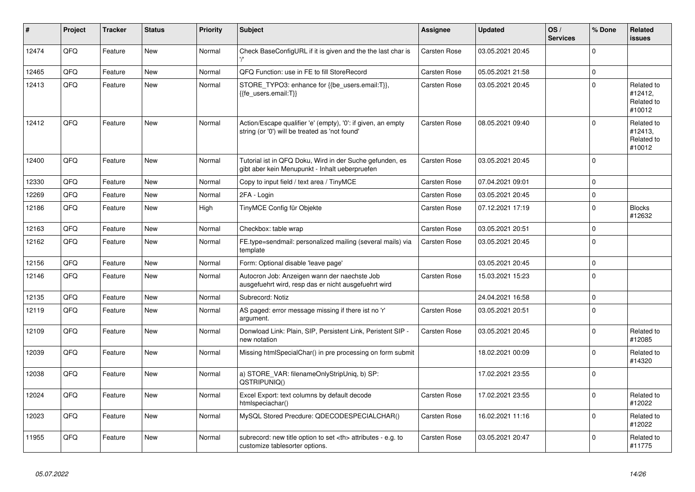| #     | Project | <b>Tracker</b> | <b>Status</b> | <b>Priority</b> | <b>Subject</b>                                                                                                 | Assignee                                               | <b>Updated</b>   | OS/<br><b>Services</b> | % Done      | Related<br><b>issues</b>                      |                      |
|-------|---------|----------------|---------------|-----------------|----------------------------------------------------------------------------------------------------------------|--------------------------------------------------------|------------------|------------------------|-------------|-----------------------------------------------|----------------------|
| 12474 | QFQ     | Feature        | New           | Normal          | Check BaseConfigURL if it is given and the the last char is                                                    | Carsten Rose                                           | 03.05.2021 20:45 |                        | $\Omega$    |                                               |                      |
| 12465 | QFQ     | Feature        | <b>New</b>    | Normal          | QFQ Function: use in FE to fill StoreRecord                                                                    | <b>Carsten Rose</b>                                    | 05.05.2021 21:58 |                        | $\mathbf 0$ |                                               |                      |
| 12413 | QFQ     | Feature        | New           | Normal          | STORE TYPO3: enhance for {{be users.email:T}},<br>{{fe users.email:T}}                                         | Carsten Rose                                           | 03.05.2021 20:45 |                        | $\Omega$    | Related to<br>#12412,<br>Related to<br>#10012 |                      |
| 12412 | QFQ     | Feature        | <b>New</b>    | Normal          | Action/Escape qualifier 'e' (empty), '0': if given, an empty<br>string (or '0') will be treated as 'not found' | Carsten Rose                                           | 08.05.2021 09:40 |                        | $\mathbf 0$ | Related to<br>#12413,<br>Related to<br>#10012 |                      |
| 12400 | QFQ     | Feature        | <b>New</b>    | Normal          | Tutorial ist in QFQ Doku, Wird in der Suche gefunden, es<br>gibt aber kein Menupunkt - Inhalt ueberpruefen     | Carsten Rose                                           | 03.05.2021 20:45 |                        | $\Omega$    |                                               |                      |
| 12330 | QFQ     | Feature        | <b>New</b>    | Normal          | Copy to input field / text area / TinyMCE                                                                      | <b>Carsten Rose</b>                                    | 07.04.2021 09:01 |                        | $\Omega$    |                                               |                      |
| 12269 | QFQ     | Feature        | <b>New</b>    | Normal          | 2FA - Login                                                                                                    | <b>Carsten Rose</b>                                    | 03.05.2021 20:45 |                        | $\mathbf 0$ |                                               |                      |
| 12186 | QFQ     | Feature        | New           | High            | TinyMCE Config für Objekte                                                                                     | Carsten Rose                                           | 07.12.2021 17:19 |                        | $\mathbf 0$ | <b>Blocks</b><br>#12632                       |                      |
| 12163 | QFQ     | Feature        | <b>New</b>    | Normal          | Checkbox: table wrap                                                                                           | Carsten Rose                                           | 03.05.2021 20:51 |                        | $\mathbf 0$ |                                               |                      |
| 12162 | QFQ     | Feature        | New           | Normal          | FE.type=sendmail: personalized mailing (several mails) via<br>template                                         | Carsten Rose                                           | 03.05.2021 20:45 |                        | $\mathbf 0$ |                                               |                      |
| 12156 | QFQ     | Feature        | <b>New</b>    | Normal          | Form: Optional disable 'leave page'                                                                            |                                                        | 03.05.2021 20:45 |                        | $\mathbf 0$ |                                               |                      |
| 12146 | QFQ     | Feature        | New           | Normal          | Autocron Job: Anzeigen wann der naechste Job<br>ausgefuehrt wird, resp das er nicht ausgefuehrt wird           | Carsten Rose                                           | 15.03.2021 15:23 |                        | $\mathbf 0$ |                                               |                      |
| 12135 | QFQ     | Feature        | <b>New</b>    | Normal          | Subrecord: Notiz                                                                                               |                                                        | 24.04.2021 16:58 |                        | $\mathbf 0$ |                                               |                      |
| 12119 | QFQ     | Feature        | New           | Normal          | AS paged: error message missing if there ist no 'r'<br>argument.                                               | Carsten Rose                                           | 03.05.2021 20:51 |                        | $\mathbf 0$ |                                               |                      |
| 12109 | QFQ     | Feature        | New           | Normal          | Donwload Link: Plain, SIP, Persistent Link, Peristent SIP -<br>new notation                                    | Carsten Rose                                           | 03.05.2021 20:45 |                        | $\Omega$    | Related to<br>#12085                          |                      |
| 12039 | QFQ     | Feature        | <b>New</b>    | Normal          | Missing htmlSpecialChar() in pre processing on form submit                                                     |                                                        | 18.02.2021 00:09 |                        | $\Omega$    | Related to<br>#14320                          |                      |
| 12038 | QFQ     | Feature        | <b>New</b>    | Normal          | a) STORE_VAR: filenameOnlyStripUniq, b) SP:<br>QSTRIPUNIQ()                                                    |                                                        | 17.02.2021 23:55 |                        | $\Omega$    |                                               |                      |
| 12024 | QFQ     | Feature        | New           | Normal          | Excel Export: text columns by default decode<br>htmlspeciachar()                                               | Carsten Rose                                           | 17.02.2021 23:55 |                        | $\mathbf 0$ | Related to<br>#12022                          |                      |
| 12023 | QFQ     | Feature        | New           | Normal          | MySQL Stored Precdure: QDECODESPECIALCHAR()                                                                    | Carsten Rose                                           | 16.02.2021 11:16 |                        | $\mathbf 0$ | Related to<br>#12022                          |                      |
| 11955 | QFQ     | Feature        | New           | Normal          | subrecord: new title option to set <th> attributes - e.g. to<br/>customize tablesorter options.</th>           | attributes - e.g. to<br>customize tablesorter options. | Carsten Rose     | 03.05.2021 20:47       |             | $\Omega$                                      | Related to<br>#11775 |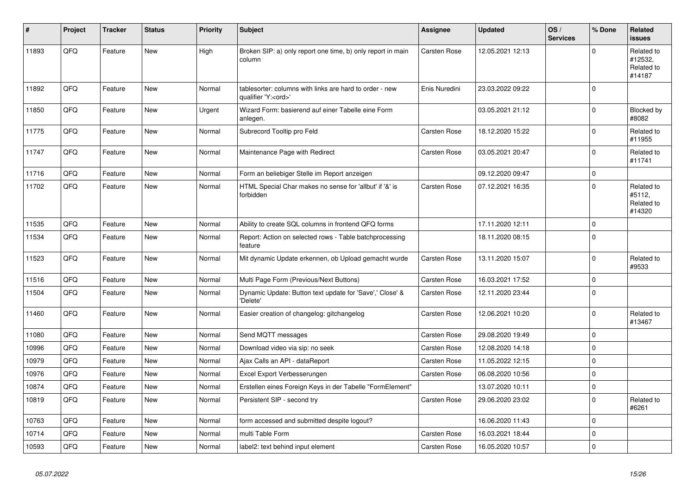| $\vert$ # | Project | <b>Tracker</b> | <b>Status</b> | <b>Priority</b> | <b>Subject</b>                                                                        | Assignee            | <b>Updated</b>   | OS/<br><b>Services</b> | % Done      | Related<br>issues                             |
|-----------|---------|----------------|---------------|-----------------|---------------------------------------------------------------------------------------|---------------------|------------------|------------------------|-------------|-----------------------------------------------|
| 11893     | QFQ     | Feature        | <b>New</b>    | High            | Broken SIP: a) only report one time, b) only report in main<br>column                 | Carsten Rose        | 12.05.2021 12:13 |                        | $\Omega$    | Related to<br>#12532,<br>Related to<br>#14187 |
| 11892     | QFQ     | Feature        | <b>New</b>    | Normal          | tablesorter: columns with links are hard to order - new<br>qualifier 'Y: <ord>'</ord> | Enis Nuredini       | 23.03.2022 09:22 |                        | $\mathbf 0$ |                                               |
| 11850     | QFQ     | Feature        | <b>New</b>    | Urgent          | Wizard Form: basierend auf einer Tabelle eine Form<br>anlegen.                        |                     | 03.05.2021 21:12 |                        | $\Omega$    | Blocked by<br>#8082                           |
| 11775     | QFQ     | Feature        | New           | Normal          | Subrecord Tooltip pro Feld                                                            | Carsten Rose        | 18.12.2020 15:22 |                        | $\mathbf 0$ | Related to<br>#11955                          |
| 11747     | QFQ     | Feature        | New           | Normal          | Maintenance Page with Redirect                                                        | <b>Carsten Rose</b> | 03.05.2021 20:47 |                        | $\mathbf 0$ | Related to<br>#11741                          |
| 11716     | QFQ     | Feature        | New           | Normal          | Form an beliebiger Stelle im Report anzeigen                                          |                     | 09.12.2020 09:47 |                        | $\pmb{0}$   |                                               |
| 11702     | QFQ     | Feature        | New           | Normal          | HTML Special Char makes no sense for 'allbut' if '&' is<br>forbidden                  | Carsten Rose        | 07.12.2021 16:35 |                        | $\Omega$    | Related to<br>#5112,<br>Related to<br>#14320  |
| 11535     | QFQ     | Feature        | New           | Normal          | Ability to create SQL columns in frontend QFQ forms                                   |                     | 17.11.2020 12:11 |                        | $\mathbf 0$ |                                               |
| 11534     | QFQ     | Feature        | New           | Normal          | Report: Action on selected rows - Table batchprocessing<br>feature                    |                     | 18.11.2020 08:15 |                        | $\mathbf 0$ |                                               |
| 11523     | QFQ     | Feature        | New           | Normal          | Mit dynamic Update erkennen, ob Upload gemacht wurde                                  | Carsten Rose        | 13.11.2020 15:07 |                        | $\Omega$    | Related to<br>#9533                           |
| 11516     | QFQ     | Feature        | New           | Normal          | Multi Page Form (Previous/Next Buttons)                                               | <b>Carsten Rose</b> | 16.03.2021 17:52 |                        | $\mathbf 0$ |                                               |
| 11504     | QFQ     | Feature        | <b>New</b>    | Normal          | Dynamic Update: Button text update for 'Save',' Close' &<br>'Delete'                  | Carsten Rose        | 12.11.2020 23:44 |                        | $\Omega$    |                                               |
| 11460     | QFQ     | Feature        | <b>New</b>    | Normal          | Easier creation of changelog: gitchangelog                                            | <b>Carsten Rose</b> | 12.06.2021 10:20 |                        | $\mathbf 0$ | Related to<br>#13467                          |
| 11080     | QFQ     | Feature        | New           | Normal          | Send MQTT messages                                                                    | Carsten Rose        | 29.08.2020 19:49 |                        | $\mathbf 0$ |                                               |
| 10996     | QFQ     | Feature        | New           | Normal          | Download video via sip: no seek                                                       | <b>Carsten Rose</b> | 12.08.2020 14:18 |                        | $\mathbf 0$ |                                               |
| 10979     | QFQ     | Feature        | New           | Normal          | Ajax Calls an API - dataReport                                                        | Carsten Rose        | 11.05.2022 12:15 |                        | $\mathbf 0$ |                                               |
| 10976     | QFQ     | Feature        | <b>New</b>    | Normal          | Excel Export Verbesserungen                                                           | Carsten Rose        | 06.08.2020 10:56 |                        | $\mathbf 0$ |                                               |
| 10874     | QFQ     | Feature        | <b>New</b>    | Normal          | Erstellen eines Foreign Keys in der Tabelle "FormElement"                             |                     | 13.07.2020 10:11 |                        | $\mathbf 0$ |                                               |
| 10819     | QFQ     | Feature        | New           | Normal          | Persistent SIP - second try                                                           | <b>Carsten Rose</b> | 29.06.2020 23:02 |                        | $\mathbf 0$ | Related to<br>#6261                           |
| 10763     | QFQ     | Feature        | New           | Normal          | form accessed and submitted despite logout?                                           |                     | 16.06.2020 11:43 |                        | $\mathbf 0$ |                                               |
| 10714     | QFQ     | Feature        | New           | Normal          | multi Table Form                                                                      | <b>Carsten Rose</b> | 16.03.2021 18:44 |                        | $\mathbf 0$ |                                               |
| 10593     | QFQ     | Feature        | New           | Normal          | label2: text behind input element                                                     | <b>Carsten Rose</b> | 16.05.2020 10:57 |                        | $\pmb{0}$   |                                               |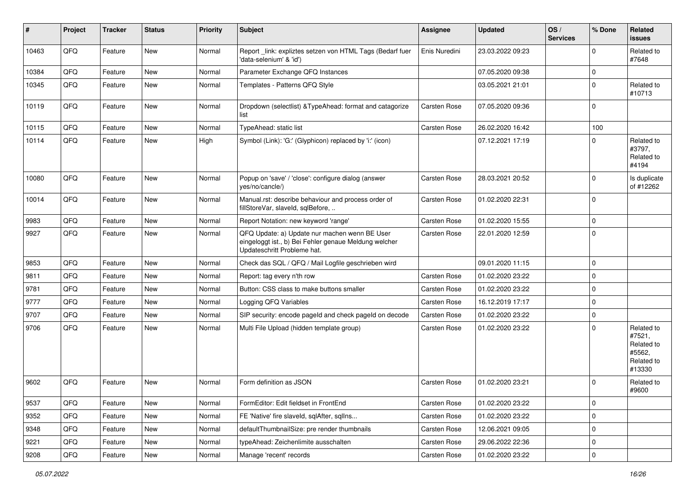| #     | Project | <b>Tracker</b> | <b>Status</b> | <b>Priority</b> | Subject                                                                                                                               | Assignee            | <b>Updated</b>   | OS/<br><b>Services</b> | % Done      | Related<br><b>issues</b>                                             |
|-------|---------|----------------|---------------|-----------------|---------------------------------------------------------------------------------------------------------------------------------------|---------------------|------------------|------------------------|-------------|----------------------------------------------------------------------|
| 10463 | QFQ     | Feature        | <b>New</b>    | Normal          | Report link: expliztes setzen von HTML Tags (Bedarf fuer<br>'data-selenium' & 'id')                                                   | Enis Nuredini       | 23.03.2022 09:23 |                        | $\Omega$    | Related to<br>#7648                                                  |
| 10384 | QFQ     | Feature        | New           | Normal          | Parameter Exchange QFQ Instances                                                                                                      |                     | 07.05.2020 09:38 |                        | $\mathbf 0$ |                                                                      |
| 10345 | QFQ     | Feature        | <b>New</b>    | Normal          | Templates - Patterns QFQ Style                                                                                                        |                     | 03.05.2021 21:01 |                        | $\Omega$    | Related to<br>#10713                                                 |
| 10119 | QFQ     | Feature        | <b>New</b>    | Normal          | Dropdown (selectlist) & TypeAhead: format and catagorize<br>list                                                                      | <b>Carsten Rose</b> | 07.05.2020 09:36 |                        | $\Omega$    |                                                                      |
| 10115 | QFQ     | Feature        | <b>New</b>    | Normal          | TypeAhead: static list                                                                                                                | Carsten Rose        | 26.02.2020 16:42 |                        | 100         |                                                                      |
| 10114 | QFQ     | Feature        | New           | High            | Symbol (Link): 'G:' (Glyphicon) replaced by 'i:' (icon)                                                                               |                     | 07.12.2021 17:19 |                        | $\Omega$    | Related to<br>#3797,<br>Related to<br>#4194                          |
| 10080 | QFQ     | Feature        | <b>New</b>    | Normal          | Popup on 'save' / 'close': configure dialog (answer<br>yes/no/cancle/)                                                                | Carsten Rose        | 28.03.2021 20:52 |                        | $\mathbf 0$ | Is duplicate<br>of #12262                                            |
| 10014 | QFQ     | Feature        | <b>New</b>    | Normal          | Manual.rst: describe behaviour and process order of<br>fillStoreVar, slaveId, sqlBefore,                                              | <b>Carsten Rose</b> | 01.02.2020 22:31 |                        | $\mathbf 0$ |                                                                      |
| 9983  | QFQ     | Feature        | <b>New</b>    | Normal          | Report Notation: new keyword 'range'                                                                                                  | <b>Carsten Rose</b> | 01.02.2020 15:55 |                        | $\mathbf 0$ |                                                                      |
| 9927  | QFQ     | Feature        | <b>New</b>    | Normal          | QFQ Update: a) Update nur machen wenn BE User<br>eingeloggt ist., b) Bei Fehler genaue Meldung welcher<br>Updateschritt Probleme hat. | Carsten Rose        | 22.01.2020 12:59 |                        | $\mathbf 0$ |                                                                      |
| 9853  | QFQ     | Feature        | <b>New</b>    | Normal          | Check das SQL / QFQ / Mail Logfile geschrieben wird                                                                                   |                     | 09.01.2020 11:15 |                        | $\mathbf 0$ |                                                                      |
| 9811  | QFQ     | Feature        | New           | Normal          | Report: tag every n'th row                                                                                                            | <b>Carsten Rose</b> | 01.02.2020 23:22 |                        | $\mathbf 0$ |                                                                      |
| 9781  | QFQ     | Feature        | New           | Normal          | Button: CSS class to make buttons smaller                                                                                             | Carsten Rose        | 01.02.2020 23:22 |                        | $\mathbf 0$ |                                                                      |
| 9777  | QFQ     | Feature        | <b>New</b>    | Normal          | Logging QFQ Variables                                                                                                                 | <b>Carsten Rose</b> | 16.12.2019 17:17 |                        | $\mathbf 0$ |                                                                      |
| 9707  | QFQ     | Feature        | New           | Normal          | SIP security: encode pageId and check pageId on decode                                                                                | Carsten Rose        | 01.02.2020 23:22 |                        | $\mathbf 0$ |                                                                      |
| 9706  | QFQ     | Feature        | New           | Normal          | Multi File Upload (hidden template group)                                                                                             | Carsten Rose        | 01.02.2020 23:22 |                        | $\Omega$    | Related to<br>#7521,<br>Related to<br>#5562.<br>Related to<br>#13330 |
| 9602  | QFQ     | Feature        | <b>New</b>    | Normal          | Form definition as JSON                                                                                                               | Carsten Rose        | 01.02.2020 23:21 |                        | $\Omega$    | Related to<br>#9600                                                  |
| 9537  | QFQ     | Feature        | <b>New</b>    | Normal          | FormEditor: Edit fieldset in FrontEnd                                                                                                 | Carsten Rose        | 01.02.2020 23:22 |                        | 0           |                                                                      |
| 9352  | QFQ     | Feature        | New           | Normal          | FE 'Native' fire slaveld, sqlAfter, sqlIns                                                                                            | Carsten Rose        | 01.02.2020 23:22 |                        | 0           |                                                                      |
| 9348  | QFQ     | Feature        | New           | Normal          | defaultThumbnailSize: pre render thumbnails                                                                                           | Carsten Rose        | 12.06.2021 09:05 |                        | 0           |                                                                      |
| 9221  | QFQ     | Feature        | New           | Normal          | typeAhead: Zeichenlimite ausschalten                                                                                                  | Carsten Rose        | 29.06.2022 22:36 |                        | 0           |                                                                      |
| 9208  | QFQ     | Feature        | New           | Normal          | Manage 'recent' records                                                                                                               | Carsten Rose        | 01.02.2020 23:22 |                        | $\pmb{0}$   |                                                                      |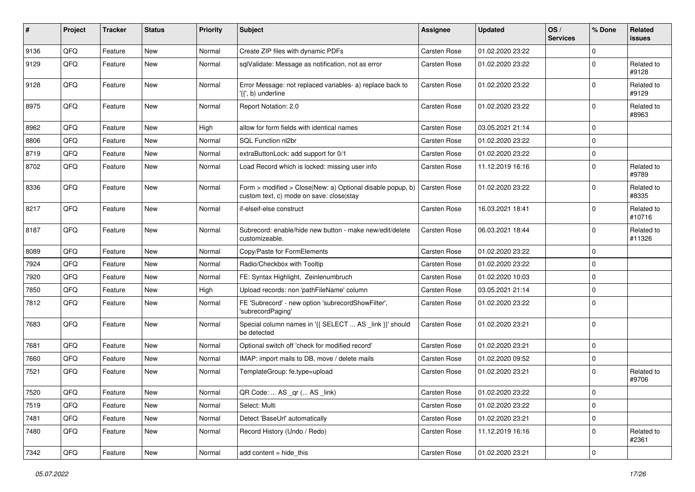| ∦    | Project        | <b>Tracker</b> | <b>Status</b> | Priority | <b>Subject</b>                                                                                         | <b>Assignee</b>     | <b>Updated</b>   | OS/<br><b>Services</b> | % Done      | Related<br><b>issues</b> |
|------|----------------|----------------|---------------|----------|--------------------------------------------------------------------------------------------------------|---------------------|------------------|------------------------|-------------|--------------------------|
| 9136 | QFQ            | Feature        | New           | Normal   | Create ZIP files with dynamic PDFs                                                                     | Carsten Rose        | 01.02.2020 23:22 |                        | $\Omega$    |                          |
| 9129 | QFQ            | Feature        | <b>New</b>    | Normal   | sqlValidate: Message as notification, not as error                                                     | Carsten Rose        | 01.02.2020 23:22 |                        | 0           | Related to<br>#9128      |
| 9128 | QFQ            | Feature        | New           | Normal   | Error Message: not replaced variables- a) replace back to<br>'{{', b) underline                        | Carsten Rose        | 01.02.2020 23:22 |                        | $\Omega$    | Related to<br>#9129      |
| 8975 | QFQ            | Feature        | New           | Normal   | Report Notation: 2.0                                                                                   | Carsten Rose        | 01.02.2020 23:22 |                        | $\mathbf 0$ | Related to<br>#8963      |
| 8962 | QFQ            | Feature        | New           | High     | allow for form fields with identical names                                                             | Carsten Rose        | 03.05.2021 21:14 |                        | $\Omega$    |                          |
| 8806 | QFQ            | Feature        | New           | Normal   | SQL Function nl2br                                                                                     | Carsten Rose        | 01.02.2020 23:22 |                        | $\mathbf 0$ |                          |
| 8719 | QFQ            | Feature        | New           | Normal   | extraButtonLock: add support for 0/1                                                                   | Carsten Rose        | 01.02.2020 23:22 |                        | $\mathbf 0$ |                          |
| 8702 | QFQ            | Feature        | New           | Normal   | Load Record which is locked: missing user info                                                         | Carsten Rose        | 11.12.2019 16:16 |                        | $\mathbf 0$ | Related to<br>#9789      |
| 8336 | QFQ            | Feature        | New           | Normal   | Form > modified > Close New: a) Optional disable popup, b)<br>custom text, c) mode on save: closelstay | <b>Carsten Rose</b> | 01.02.2020 23:22 |                        | $\Omega$    | Related to<br>#8335      |
| 8217 | QFQ            | Feature        | New           | Normal   | if-elseif-else construct                                                                               | Carsten Rose        | 16.03.2021 18:41 |                        | $\Omega$    | Related to<br>#10716     |
| 8187 | QFQ            | Feature        | New           | Normal   | Subrecord: enable/hide new button - make new/edit/delete<br>customizeable.                             | Carsten Rose        | 06.03.2021 18:44 |                        | $\mathbf 0$ | Related to<br>#11326     |
| 8089 | QFQ            | Feature        | New           | Normal   | Copy/Paste for FormElements                                                                            | Carsten Rose        | 01.02.2020 23:22 |                        | $\Omega$    |                          |
| 7924 | QFQ            | Feature        | New           | Normal   | Radio/Checkbox with Tooltip                                                                            | Carsten Rose        | 01.02.2020 23:22 |                        | $\mathbf 0$ |                          |
| 7920 | QFQ            | Feature        | <b>New</b>    | Normal   | FE: Syntax Highlight, Zeinlenumbruch                                                                   | Carsten Rose        | 01.02.2020 10:03 |                        | $\mathbf 0$ |                          |
| 7850 | QFQ            | Feature        | New           | High     | Upload records: non 'pathFileName' column                                                              | Carsten Rose        | 03.05.2021 21:14 |                        | $\mathbf 0$ |                          |
| 7812 | QFQ            | Feature        | New           | Normal   | FE 'Subrecord' - new option 'subrecordShowFilter',<br>'subrecordPaging'                                | Carsten Rose        | 01.02.2020 23:22 |                        | $\Omega$    |                          |
| 7683 | QFQ            | Feature        | New           | Normal   | Special column names in '{{ SELECT  AS _link }}' should<br>be detected                                 | Carsten Rose        | 01.02.2020 23:21 |                        | $\Omega$    |                          |
| 7681 | QFQ            | Feature        | New           | Normal   | Optional switch off 'check for modified record'                                                        | Carsten Rose        | 01.02.2020 23:21 |                        | $\Omega$    |                          |
| 7660 | QFQ            | Feature        | New           | Normal   | IMAP: import mails to DB, move / delete mails                                                          | Carsten Rose        | 01.02.2020 09:52 |                        | $\mathbf 0$ |                          |
| 7521 | QFQ            | Feature        | New           | Normal   | TemplateGroup: fe.type=upload                                                                          | Carsten Rose        | 01.02.2020 23:21 |                        | $\mathbf 0$ | Related to<br>#9706      |
| 7520 | $\mathsf{QFQ}$ | Feature        | New           | Normal   | QR Code:  AS _qr ( AS _link)                                                                           | Carsten Rose        | 01.02.2020 23:22 |                        | $\mathbf 0$ |                          |
| 7519 | QFQ            | Feature        | New           | Normal   | Select: Multi                                                                                          | Carsten Rose        | 01.02.2020 23:22 |                        | $\mathbf 0$ |                          |
| 7481 | QFQ            | Feature        | New           | Normal   | Detect 'BaseUrl' automatically                                                                         | Carsten Rose        | 01.02.2020 23:21 |                        | $\mathbf 0$ |                          |
| 7480 | QFQ            | Feature        | New           | Normal   | Record History (Undo / Redo)                                                                           | Carsten Rose        | 11.12.2019 16:16 |                        | 0           | Related to<br>#2361      |
| 7342 | QFQ            | Feature        | New           | Normal   | add content = hide_this                                                                                | Carsten Rose        | 01.02.2020 23:21 |                        | $\mathbf 0$ |                          |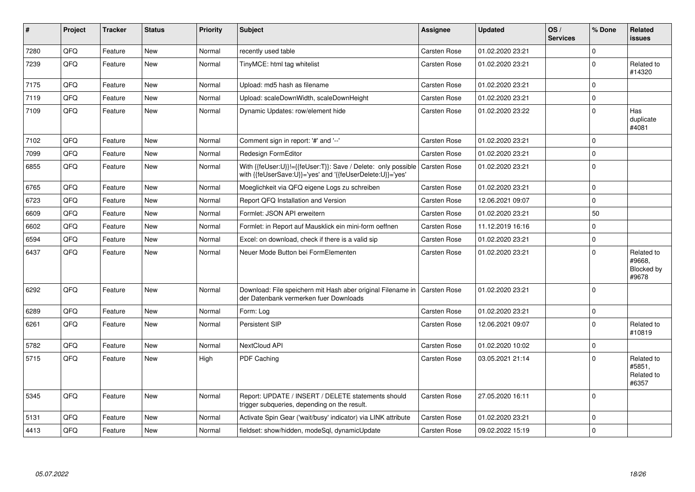| $\vert$ # | Project | <b>Tracker</b> | <b>Status</b> | <b>Priority</b> | <b>Subject</b>                                                                                                             | <b>Assignee</b>     | <b>Updated</b>   | OS/<br><b>Services</b> | % Done      | <b>Related</b><br><b>issues</b>             |
|-----------|---------|----------------|---------------|-----------------|----------------------------------------------------------------------------------------------------------------------------|---------------------|------------------|------------------------|-------------|---------------------------------------------|
| 7280      | QFQ     | Feature        | <b>New</b>    | Normal          | recently used table                                                                                                        | Carsten Rose        | 01.02.2020 23:21 |                        | $\Omega$    |                                             |
| 7239      | QFQ     | Feature        | New           | Normal          | TinyMCE: html tag whitelist                                                                                                | Carsten Rose        | 01.02.2020 23:21 |                        | $\mathbf 0$ | Related to<br>#14320                        |
| 7175      | QFQ     | Feature        | New           | Normal          | Upload: md5 hash as filename                                                                                               | Carsten Rose        | 01.02.2020 23:21 |                        | $\mathbf 0$ |                                             |
| 7119      | QFQ     | Feature        | <b>New</b>    | Normal          | Upload: scaleDownWidth, scaleDownHeight                                                                                    | <b>Carsten Rose</b> | 01.02.2020 23:21 |                        | $\mathbf 0$ |                                             |
| 7109      | QFQ     | Feature        | New           | Normal          | Dynamic Updates: row/element hide                                                                                          | Carsten Rose        | 01.02.2020 23:22 |                        | $\mathbf 0$ | Has<br>duplicate<br>#4081                   |
| 7102      | QFQ     | Feature        | New           | Normal          | Comment sign in report: '#' and '--'                                                                                       | Carsten Rose        | 01.02.2020 23:21 |                        | $\mathbf 0$ |                                             |
| 7099      | QFQ     | Feature        | <b>New</b>    | Normal          | Redesign FormEditor                                                                                                        | <b>Carsten Rose</b> | 01.02.2020 23:21 |                        | $\mathbf 0$ |                                             |
| 6855      | QFQ     | Feature        | New           | Normal          | With {{feUser:U}}!={{feUser:T}}: Save / Delete: only possible<br>with {{feUserSave:U}}='yes' and '{{feUserDelete:U}}='yes' | Carsten Rose        | 01.02.2020 23:21 |                        | $\mathbf 0$ |                                             |
| 6765      | QFQ     | Feature        | New           | Normal          | Moeglichkeit via QFQ eigene Logs zu schreiben                                                                              | Carsten Rose        | 01.02.2020 23:21 |                        | $\mathbf 0$ |                                             |
| 6723      | QFQ     | Feature        | <b>New</b>    | Normal          | Report QFQ Installation and Version                                                                                        | Carsten Rose        | 12.06.2021 09:07 |                        | $\mathbf 0$ |                                             |
| 6609      | QFQ     | Feature        | New           | Normal          | Formlet: JSON API erweitern                                                                                                | Carsten Rose        | 01.02.2020 23:21 |                        | 50          |                                             |
| 6602      | QFQ     | Feature        | New           | Normal          | Formlet: in Report auf Mausklick ein mini-form oeffnen                                                                     | Carsten Rose        | 11.12.2019 16:16 |                        | $\mathbf 0$ |                                             |
| 6594      | QFQ     | Feature        | New           | Normal          | Excel: on download, check if there is a valid sip                                                                          | Carsten Rose        | 01.02.2020 23:21 |                        | $\mathbf 0$ |                                             |
| 6437      | QFQ     | Feature        | New           | Normal          | Neuer Mode Button bei FormElementen                                                                                        | Carsten Rose        | 01.02.2020 23:21 |                        | $\mathbf 0$ | Related to<br>#9668,<br>Blocked by<br>#9678 |
| 6292      | QFQ     | Feature        | New           | Normal          | Download: File speichern mit Hash aber original Filename in<br>der Datenbank vermerken fuer Downloads                      | <b>Carsten Rose</b> | 01.02.2020 23:21 |                        | $\mathbf 0$ |                                             |
| 6289      | QFQ     | Feature        | <b>New</b>    | Normal          | Form: Log                                                                                                                  | Carsten Rose        | 01.02.2020 23:21 |                        | $\mathbf 0$ |                                             |
| 6261      | QFQ     | Feature        | New           | Normal          | Persistent SIP                                                                                                             | Carsten Rose        | 12.06.2021 09:07 |                        | $\mathbf 0$ | Related to<br>#10819                        |
| 5782      | QFQ     | Feature        | New           | Normal          | NextCloud API                                                                                                              | Carsten Rose        | 01.02.2020 10:02 |                        | $\mathbf 0$ |                                             |
| 5715      | QFQ     | Feature        | <b>New</b>    | High            | <b>PDF Caching</b>                                                                                                         | Carsten Rose        | 03.05.2021 21:14 |                        | $\Omega$    | Related to<br>#5851,<br>Related to<br>#6357 |
| 5345      | QFQ     | Feature        | <b>New</b>    | Normal          | Report: UPDATE / INSERT / DELETE statements should<br>trigger subqueries, depending on the result.                         | Carsten Rose        | 27.05.2020 16:11 |                        | $\mathbf 0$ |                                             |
| 5131      | QFQ     | Feature        | <b>New</b>    | Normal          | Activate Spin Gear ('wait/busy' indicator) via LINK attribute                                                              | Carsten Rose        | 01.02.2020 23:21 |                        | $\mathbf 0$ |                                             |
| 4413      | QFQ     | Feature        | New           | Normal          | fieldset: show/hidden, modeSql, dynamicUpdate                                                                              | Carsten Rose        | 09.02.2022 15:19 |                        | $\mathbf 0$ |                                             |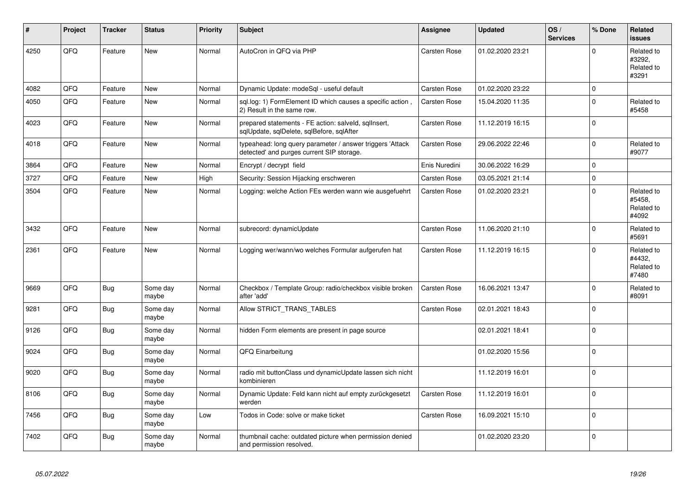| #    | Project | <b>Tracker</b> | <b>Status</b>     | Priority | <b>Subject</b>                                                                                         | <b>Assignee</b> | <b>Updated</b>   | OS/<br><b>Services</b> | % Done      | Related<br><b>issues</b>                    |
|------|---------|----------------|-------------------|----------|--------------------------------------------------------------------------------------------------------|-----------------|------------------|------------------------|-------------|---------------------------------------------|
| 4250 | QFQ     | Feature        | <b>New</b>        | Normal   | AutoCron in QFQ via PHP                                                                                | Carsten Rose    | 01.02.2020 23:21 |                        | $\Omega$    | Related to<br>#3292,<br>Related to<br>#3291 |
| 4082 | QFQ     | Feature        | <b>New</b>        | Normal   | Dynamic Update: modeSql - useful default                                                               | Carsten Rose    | 01.02.2020 23:22 |                        | $\mathbf 0$ |                                             |
| 4050 | QFQ     | Feature        | New               | Normal   | sql.log: 1) FormElement ID which causes a specific action,<br>2) Result in the same row.               | Carsten Rose    | 15.04.2020 11:35 |                        | $\Omega$    | Related to<br>#5458                         |
| 4023 | QFQ     | Feature        | <b>New</b>        | Normal   | prepared statements - FE action: salveld, sqllnsert,<br>sqlUpdate, sqlDelete, sqlBefore, sqlAfter      | Carsten Rose    | 11.12.2019 16:15 |                        | $\mathbf 0$ |                                             |
| 4018 | QFQ     | Feature        | New               | Normal   | typeahead: long query parameter / answer triggers 'Attack<br>detected' and purges current SIP storage. | Carsten Rose    | 29.06.2022 22:46 |                        | $\Omega$    | Related to<br>#9077                         |
| 3864 | QFQ     | Feature        | <b>New</b>        | Normal   | Encrypt / decrypt field                                                                                | Enis Nuredini   | 30.06.2022 16:29 |                        | $\Omega$    |                                             |
| 3727 | QFQ     | Feature        | New               | High     | Security: Session Hijacking erschweren                                                                 | Carsten Rose    | 03.05.2021 21:14 |                        | $\mathbf 0$ |                                             |
| 3504 | QFQ     | Feature        | New               | Normal   | Logging: welche Action FEs werden wann wie ausgefuehrt                                                 | Carsten Rose    | 01.02.2020 23:21 |                        | $\mathbf 0$ | Related to<br>#5458,<br>Related to<br>#4092 |
| 3432 | QFQ     | Feature        | <b>New</b>        | Normal   | subrecord: dynamicUpdate                                                                               | Carsten Rose    | 11.06.2020 21:10 |                        | $\Omega$    | Related to<br>#5691                         |
| 2361 | QFQ     | Feature        | New               | Normal   | Logging wer/wann/wo welches Formular aufgerufen hat                                                    | Carsten Rose    | 11.12.2019 16:15 |                        | $\Omega$    | Related to<br>#4432,<br>Related to<br>#7480 |
| 9669 | QFQ     | Bug            | Some day<br>maybe | Normal   | Checkbox / Template Group: radio/checkbox visible broken<br>after 'add'                                | Carsten Rose    | 16.06.2021 13:47 |                        | $\Omega$    | Related to<br>#8091                         |
| 9281 | QFQ     | <b>Bug</b>     | Some day<br>maybe | Normal   | Allow STRICT_TRANS_TABLES                                                                              | Carsten Rose    | 02.01.2021 18:43 |                        | $\Omega$    |                                             |
| 9126 | QFQ     | Bug            | Some day<br>maybe | Normal   | hidden Form elements are present in page source                                                        |                 | 02.01.2021 18:41 |                        | $\mathbf 0$ |                                             |
| 9024 | QFQ     | <b>Bug</b>     | Some day<br>maybe | Normal   | QFQ Einarbeitung                                                                                       |                 | 01.02.2020 15:56 |                        | $\mathbf 0$ |                                             |
| 9020 | QFQ     | <b>Bug</b>     | Some day<br>maybe | Normal   | radio mit buttonClass und dynamicUpdate lassen sich nicht<br>kombinieren                               |                 | 11.12.2019 16:01 |                        | $\Omega$    |                                             |
| 8106 | QFQ     | Bug            | Some day<br>maybe | Normal   | Dynamic Update: Feld kann nicht auf empty zurückgesetzt<br>werden                                      | Carsten Rose    | 11.12.2019 16:01 |                        | $\mathbf 0$ |                                             |
| 7456 | QFQ     | <b>Bug</b>     | Some day<br>maybe | Low      | Todos in Code: solve or make ticket                                                                    | Carsten Rose    | 16.09.2021 15:10 |                        | $\mathbf 0$ |                                             |
| 7402 | QFQ     | <b>Bug</b>     | Some day<br>maybe | Normal   | thumbnail cache: outdated picture when permission denied<br>and permission resolved.                   |                 | 01.02.2020 23:20 |                        | $\mathbf 0$ |                                             |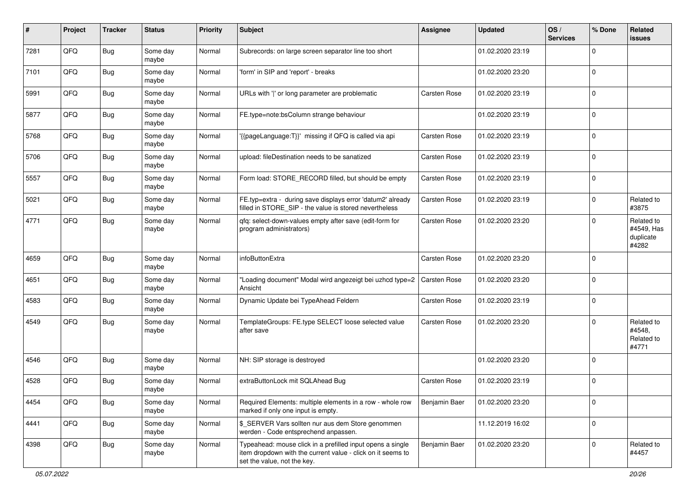| ∦    | Project | <b>Tracker</b> | <b>Status</b>     | <b>Priority</b> | Subject                                                                                                                                                  | <b>Assignee</b>     | <b>Updated</b>   | OS/<br><b>Services</b> | % Done      | Related<br><b>issues</b>                       |
|------|---------|----------------|-------------------|-----------------|----------------------------------------------------------------------------------------------------------------------------------------------------------|---------------------|------------------|------------------------|-------------|------------------------------------------------|
| 7281 | QFQ     | <b>Bug</b>     | Some day<br>maybe | Normal          | Subrecords: on large screen separator line too short                                                                                                     |                     | 01.02.2020 23:19 |                        | $\Omega$    |                                                |
| 7101 | QFQ     | Bug            | Some day<br>maybe | Normal          | 'form' in SIP and 'report' - breaks                                                                                                                      |                     | 01.02.2020 23:20 |                        | 0           |                                                |
| 5991 | QFQ     | Bug            | Some day<br>maybe | Normal          | URLs with ' ' or long parameter are problematic                                                                                                          | <b>Carsten Rose</b> | 01.02.2020 23:19 |                        | $\mathbf 0$ |                                                |
| 5877 | QFQ     | <b>Bug</b>     | Some day<br>maybe | Normal          | FE.type=note:bsColumn strange behaviour                                                                                                                  |                     | 01.02.2020 23:19 |                        | $\mathbf 0$ |                                                |
| 5768 | QFQ     | Bug            | Some day<br>maybe | Normal          | {{pageLanguage:T}}' missing if QFQ is called via api                                                                                                     | <b>Carsten Rose</b> | 01.02.2020 23:19 |                        | $\mathbf 0$ |                                                |
| 5706 | QFQ     | <b>Bug</b>     | Some day<br>maybe | Normal          | upload: fileDestination needs to be sanatized                                                                                                            | <b>Carsten Rose</b> | 01.02.2020 23:19 |                        | $\Omega$    |                                                |
| 5557 | QFQ     | <b>Bug</b>     | Some day<br>maybe | Normal          | Form load: STORE_RECORD filled, but should be empty                                                                                                      | <b>Carsten Rose</b> | 01.02.2020 23:19 |                        | $\mathbf 0$ |                                                |
| 5021 | QFQ     | <b>Bug</b>     | Some day<br>maybe | Normal          | FE.typ=extra - during save displays error 'datum2' already<br>filled in STORE_SIP - the value is stored nevertheless                                     | <b>Carsten Rose</b> | 01.02.2020 23:19 |                        | $\mathbf 0$ | Related to<br>#3875                            |
| 4771 | QFQ     | Bug            | Some day<br>maybe | Normal          | qfq: select-down-values empty after save (edit-form for<br>program administrators)                                                                       | <b>Carsten Rose</b> | 01.02.2020 23:20 |                        | $\Omega$    | Related to<br>#4549, Has<br>duplicate<br>#4282 |
| 4659 | QFQ     | <b>Bug</b>     | Some day<br>maybe | Normal          | infoButtonExtra                                                                                                                                          | <b>Carsten Rose</b> | 01.02.2020 23:20 |                        | $\mathbf 0$ |                                                |
| 4651 | QFQ     | Bug            | Some day<br>maybe | Normal          | "Loading document" Modal wird angezeigt bei uzhcd type=2<br>Ansicht                                                                                      | <b>Carsten Rose</b> | 01.02.2020 23:20 |                        | 0           |                                                |
| 4583 | QFQ     | Bug            | Some day<br>maybe | Normal          | Dynamic Update bei TypeAhead Feldern                                                                                                                     | <b>Carsten Rose</b> | 01.02.2020 23:19 |                        | $\mathbf 0$ |                                                |
| 4549 | QFQ     | <b>Bug</b>     | Some day<br>maybe | Normal          | TemplateGroups: FE.type SELECT loose selected value<br>after save                                                                                        | <b>Carsten Rose</b> | 01.02.2020 23:20 |                        | $\mathbf 0$ | Related to<br>#4548,<br>Related to<br>#4771    |
| 4546 | QFQ     | Bug            | Some day<br>maybe | Normal          | NH: SIP storage is destroyed                                                                                                                             |                     | 01.02.2020 23:20 |                        | 0           |                                                |
| 4528 | QFQ     | Bug            | Some day<br>maybe | Normal          | extraButtonLock mit SQLAhead Bug                                                                                                                         | <b>Carsten Rose</b> | 01.02.2020 23:19 |                        | $\mathbf 0$ |                                                |
| 4454 | QFG     | <b>Bug</b>     | Some day<br>maybe | Normal          | Required Elements: multiple elements in a row - whole row<br>marked if only one input is empty.                                                          | Benjamin Baer       | 01.02.2020 23:20 |                        | 0           |                                                |
| 4441 | QFO     | <b>Bug</b>     | Some day<br>maybe | Normal          | \$_SERVER Vars sollten nur aus dem Store genommen<br>werden - Code entsprechend anpassen.                                                                |                     | 11.12.2019 16:02 |                        | 0           |                                                |
| 4398 | QFQ     | <b>Bug</b>     | Some day<br>maybe | Normal          | Typeahead: mouse click in a prefilled input opens a single<br>item dropdown with the current value - click on it seems to<br>set the value, not the key. | Benjamin Baer       | 01.02.2020 23:20 |                        | $\mathbf 0$ | Related to<br>#4457                            |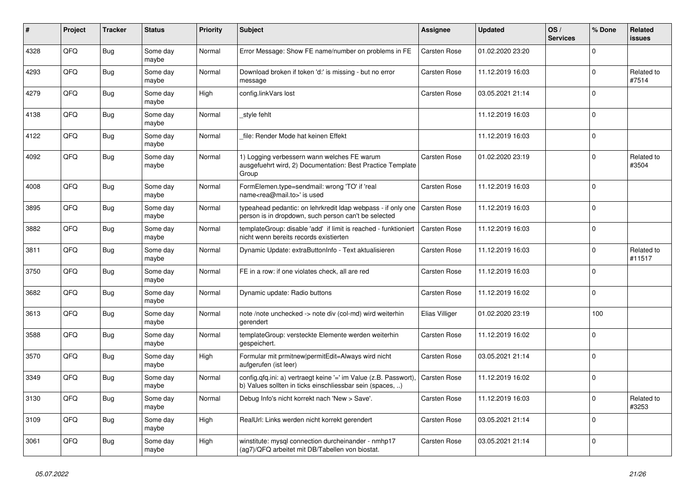| #    | Project | <b>Tracker</b> | <b>Status</b>     | <b>Priority</b> | <b>Subject</b>                                                                                                                | Assignee            | <b>Updated</b>   | OS/<br><b>Services</b> | % Done      | Related<br><b>issues</b> |
|------|---------|----------------|-------------------|-----------------|-------------------------------------------------------------------------------------------------------------------------------|---------------------|------------------|------------------------|-------------|--------------------------|
| 4328 | QFQ     | <b>Bug</b>     | Some day<br>maybe | Normal          | Error Message: Show FE name/number on problems in FE                                                                          | Carsten Rose        | 01.02.2020 23:20 |                        | $\Omega$    |                          |
| 4293 | QFQ     | Bug            | Some day<br>maybe | Normal          | Download broken if token 'd:' is missing - but no error<br>message                                                            | Carsten Rose        | 11.12.2019 16:03 |                        | $\Omega$    | Related to<br>#7514      |
| 4279 | QFQ     | Bug            | Some day<br>maybe | High            | config.linkVars lost                                                                                                          | Carsten Rose        | 03.05.2021 21:14 |                        | $\Omega$    |                          |
| 4138 | QFQ     | Bug            | Some day<br>maybe | Normal          | style fehlt                                                                                                                   |                     | 11.12.2019 16:03 |                        | $\Omega$    |                          |
| 4122 | QFQ     | Bug            | Some day<br>maybe | Normal          | file: Render Mode hat keinen Effekt                                                                                           |                     | 11.12.2019 16:03 |                        | $\Omega$    |                          |
| 4092 | QFQ     | Bug            | Some dav<br>maybe | Normal          | 1) Logging verbessern wann welches FE warum<br>ausgefuehrt wird, 2) Documentation: Best Practice Template<br>Group            | <b>Carsten Rose</b> | 01.02.2020 23:19 |                        | $\Omega$    | Related to<br>#3504      |
| 4008 | QFQ     | <b>Bug</b>     | Some day<br>maybe | Normal          | FormElemen.type=sendmail: wrong 'TO' if 'real<br>name <rea@mail.to>' is used</rea@mail.to>                                    | Carsten Rose        | 11.12.2019 16:03 |                        | $\Omega$    |                          |
| 3895 | QFQ     | Bug            | Some day<br>maybe | Normal          | typeahead pedantic: on lehrkredit Idap webpass - if only one<br>person is in dropdown, such person can't be selected          | <b>Carsten Rose</b> | 11.12.2019 16:03 |                        | $\Omega$    |                          |
| 3882 | QFQ     | Bug            | Some day<br>maybe | Normal          | templateGroup: disable 'add' if limit is reached - funktioniert<br>nicht wenn bereits records existierten                     | <b>Carsten Rose</b> | 11.12.2019 16:03 |                        | $\Omega$    |                          |
| 3811 | QFQ     | Bug            | Some day<br>maybe | Normal          | Dynamic Update: extraButtonInfo - Text aktualisieren                                                                          | Carsten Rose        | 11.12.2019 16:03 |                        | $\Omega$    | Related to<br>#11517     |
| 3750 | QFQ     | <b>Bug</b>     | Some day<br>maybe | Normal          | FE in a row: if one violates check, all are red                                                                               | Carsten Rose        | 11.12.2019 16:03 |                        | $\Omega$    |                          |
| 3682 | QFQ     | <b>Bug</b>     | Some day<br>maybe | Normal          | Dynamic update: Radio buttons                                                                                                 | Carsten Rose        | 11.12.2019 16:02 |                        | $\Omega$    |                          |
| 3613 | QFQ     | Bug            | Some day<br>maybe | Normal          | note /note unchecked -> note div (col-md) wird weiterhin<br>gerendert                                                         | Elias Villiger      | 01.02.2020 23:19 |                        | 100         |                          |
| 3588 | QFQ     | <b>Bug</b>     | Some day<br>maybe | Normal          | templateGroup: versteckte Elemente werden weiterhin<br>gespeichert.                                                           | Carsten Rose        | 11.12.2019 16:02 |                        | $\Omega$    |                          |
| 3570 | QFQ     | <b>Bug</b>     | Some day<br>maybe | High            | Formular mit prmitnew permitEdit=Always wird nicht<br>aufgerufen (ist leer)                                                   | <b>Carsten Rose</b> | 03.05.2021 21:14 |                        | $\mathbf 0$ |                          |
| 3349 | QFQ     | Bug            | Some day<br>maybe | Normal          | config.qfq.ini: a) vertraegt keine '=' im Value (z.B. Passwort).<br>b) Values sollten in ticks einschliessbar sein (spaces, ) | Carsten Rose        | 11.12.2019 16:02 |                        | $\Omega$    |                          |
| 3130 | QFQ     | Bug            | Some day<br>maybe | Normal          | Debug Info's nicht korrekt nach 'New > Save'.                                                                                 | Carsten Rose        | 11.12.2019 16:03 |                        | $\Omega$    | Related to<br>#3253      |
| 3109 | QFQ     | Bug            | Some day<br>maybe | High            | RealUrl: Links werden nicht korrekt gerendert                                                                                 | Carsten Rose        | 03.05.2021 21:14 |                        | $\Omega$    |                          |
| 3061 | QFQ     | Bug            | Some day<br>maybe | High            | winstitute: mysql connection durcheinander - nmhp17<br>(ag7)/QFQ arbeitet mit DB/Tabellen von biostat.                        | Carsten Rose        | 03.05.2021 21:14 |                        | $\Omega$    |                          |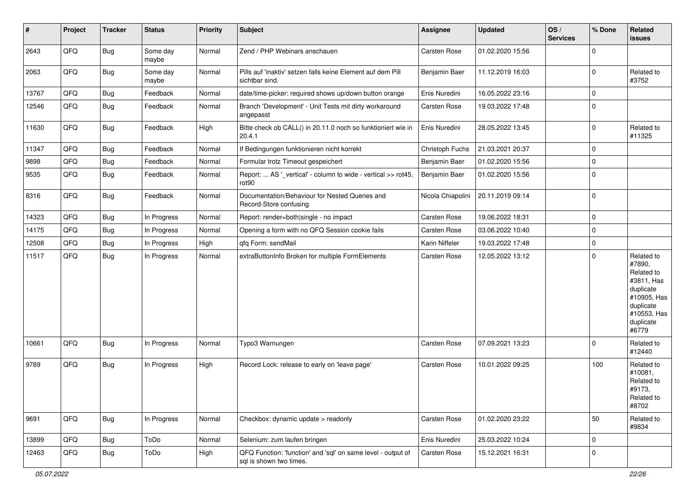| #     | Project | <b>Tracker</b> | <b>Status</b>     | <b>Priority</b> | Subject                                                                                 | Assignee            | <b>Updated</b>   | OS/<br><b>Services</b> | % Done      | Related<br><b>issues</b>                                                                                                       |
|-------|---------|----------------|-------------------|-----------------|-----------------------------------------------------------------------------------------|---------------------|------------------|------------------------|-------------|--------------------------------------------------------------------------------------------------------------------------------|
| 2643  | QFQ     | Bug            | Some day<br>maybe | Normal          | Zend / PHP Webinars anschauen                                                           | Carsten Rose        | 01.02.2020 15:56 |                        | $\mathbf 0$ |                                                                                                                                |
| 2063  | QFQ     | Bug            | Some day<br>maybe | Normal          | Pills auf 'inaktiv' setzen falls keine Element auf dem Pill<br>sichtbar sind.           | Benjamin Baer       | 11.12.2019 16:03 |                        | $\Omega$    | Related to<br>#3752                                                                                                            |
| 13767 | QFQ     | <b>Bug</b>     | Feedback          | Normal          | date/time-picker: required shows up/down button orange                                  | Enis Nuredini       | 16.05.2022 23:16 |                        | $\Omega$    |                                                                                                                                |
| 12546 | QFQ     | <b>Bug</b>     | Feedback          | Normal          | Branch 'Development' - Unit Tests mit dirty workaround<br>angepasst                     | Carsten Rose        | 19.03.2022 17:48 |                        | $\Omega$    |                                                                                                                                |
| 11630 | QFQ     | Bug            | Feedback          | High            | Bitte check ob CALL() in 20.11.0 noch so funktioniert wie in<br>20.4.1                  | Enis Nuredini       | 28.05.2022 13:45 |                        | $\Omega$    | Related to<br>#11325                                                                                                           |
| 11347 | QFQ     | Bug            | Feedback          | Normal          | If Bedingungen funktionieren nicht korrekt                                              | Christoph Fuchs     | 21.03.2021 20:37 |                        | 0           |                                                                                                                                |
| 9898  | QFQ     | <b>Bug</b>     | Feedback          | Normal          | Formular trotz Timeout gespeichert                                                      | Benjamin Baer       | 01.02.2020 15:56 |                        | $\mathbf 0$ |                                                                                                                                |
| 9535  | QFQ     | <b>Bug</b>     | Feedback          | Normal          | Report:  AS '_vertical' - column to wide - vertical >> rot45,<br>rot <sub>90</sub>      | Benjamin Baer       | 01.02.2020 15:56 |                        | $\mathbf 0$ |                                                                                                                                |
| 8316  | QFQ     | Bug            | Feedback          | Normal          | Documentation/Behaviour for Nested Queries and<br>Record-Store confusing                | Nicola Chiapolini   | 20.11.2019 09:14 |                        | 0           |                                                                                                                                |
| 14323 | QFQ     | <b>Bug</b>     | In Progress       | Normal          | Report: render=both single - no impact                                                  | Carsten Rose        | 19.06.2022 18:31 |                        | $\mathbf 0$ |                                                                                                                                |
| 14175 | QFQ     | Bug            | In Progress       | Normal          | Opening a form with no QFQ Session cookie fails                                         | Carsten Rose        | 03.06.2022 10:40 |                        | 0           |                                                                                                                                |
| 12508 | QFQ     | Bug            | In Progress       | High            | qfq Form: sendMail                                                                      | Karin Niffeler      | 19.03.2022 17:48 |                        | 0           |                                                                                                                                |
| 11517 | QFQ     | <b>Bug</b>     | In Progress       | Normal          | extraButtonInfo Broken for multiple FormElements                                        | <b>Carsten Rose</b> | 12.05.2022 13:12 |                        | $\mathbf 0$ | Related to<br>#7890,<br>Related to<br>#3811, Has<br>duplicate<br>#10905, Has<br>duplicate<br>#10553, Has<br>duplicate<br>#6779 |
| 10661 | QFQ     | <b>Bug</b>     | In Progress       | Normal          | Typo3 Warnungen                                                                         | Carsten Rose        | 07.09.2021 13:23 |                        | $\mathbf 0$ | Related to<br>#12440                                                                                                           |
| 9789  | QFQ     | Bug            | In Progress       | High            | Record Lock: release to early on 'leave page'                                           | <b>Carsten Rose</b> | 10.01.2022 09:25 |                        | 100         | Related to<br>#10081,<br>Related to<br>#9173,<br>Related to<br>#8702                                                           |
| 9691  | QFQ     | Bug            | In Progress       | Normal          | Checkbox: dynamic update > readonly                                                     | Carsten Rose        | 01.02.2020 23:22 |                        | 50          | Related to<br>#9834                                                                                                            |
| 13899 | QFQ     | Bug            | ToDo              | Normal          | Selenium: zum laufen bringen                                                            | Enis Nuredini       | 25.03.2022 10:24 |                        | $\mathbf 0$ |                                                                                                                                |
| 12463 | QFQ     | <b>Bug</b>     | ToDo              | High            | QFQ Function: 'function' and 'sql' on same level - output of<br>sql is shown two times. | Carsten Rose        | 15.12.2021 16:31 |                        | 0           |                                                                                                                                |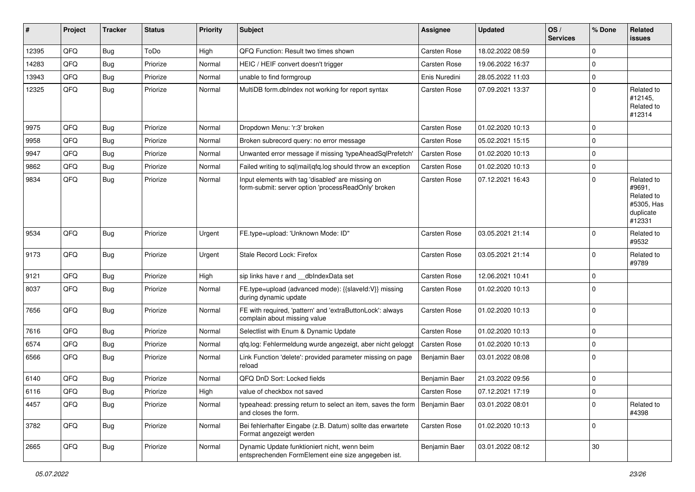| #     | Project | <b>Tracker</b> | <b>Status</b> | <b>Priority</b> | Subject                                                                                                  | Assignee            | <b>Updated</b>   | OS/<br><b>Services</b> | % Done      | Related<br>issues                                                       |
|-------|---------|----------------|---------------|-----------------|----------------------------------------------------------------------------------------------------------|---------------------|------------------|------------------------|-------------|-------------------------------------------------------------------------|
| 12395 | QFQ     | <b>Bug</b>     | ToDo          | High            | QFQ Function: Result two times shown                                                                     | <b>Carsten Rose</b> | 18.02.2022 08:59 |                        | $\mathbf 0$ |                                                                         |
| 14283 | QFQ     | <b>Bug</b>     | Priorize      | Normal          | HEIC / HEIF convert doesn't trigger                                                                      | Carsten Rose        | 19.06.2022 16:37 |                        | $\mathbf 0$ |                                                                         |
| 13943 | QFQ     | <b>Bug</b>     | Priorize      | Normal          | unable to find formgroup                                                                                 | Enis Nuredini       | 28.05.2022 11:03 |                        | $\mathbf 0$ |                                                                         |
| 12325 | QFQ     | Bug            | Priorize      | Normal          | MultiDB form.dblndex not working for report syntax                                                       | Carsten Rose        | 07.09.2021 13:37 |                        | $\mathbf 0$ | Related to<br>#12145,<br>Related to<br>#12314                           |
| 9975  | QFQ     | <b>Bug</b>     | Priorize      | Normal          | Dropdown Menu: 'r:3' broken                                                                              | Carsten Rose        | 01.02.2020 10:13 |                        | $\Omega$    |                                                                         |
| 9958  | QFQ     | <b>Bug</b>     | Priorize      | Normal          | Broken subrecord query: no error message                                                                 | Carsten Rose        | 05.02.2021 15:15 |                        | $\mathbf 0$ |                                                                         |
| 9947  | QFQ     | Bug            | Priorize      | Normal          | Unwanted error message if missing 'typeAheadSqlPrefetch'                                                 | Carsten Rose        | 01.02.2020 10:13 |                        | $\mathbf 0$ |                                                                         |
| 9862  | QFQ     | <b>Bug</b>     | Priorize      | Normal          | Failed writing to sql mail qfq.log should throw an exception                                             | Carsten Rose        | 01.02.2020 10:13 |                        | $\mathbf 0$ |                                                                         |
| 9834  | QFQ     | <b>Bug</b>     | Priorize      | Normal          | Input elements with tag 'disabled' are missing on<br>form-submit: server option 'processReadOnly' broken | Carsten Rose        | 07.12.2021 16:43 |                        | $\mathbf 0$ | Related to<br>#9691,<br>Related to<br>#5305, Has<br>duplicate<br>#12331 |
| 9534  | QFQ     | Bug            | Priorize      | Urgent          | FE.type=upload: 'Unknown Mode: ID"                                                                       | <b>Carsten Rose</b> | 03.05.2021 21:14 |                        | $\mathbf 0$ | Related to<br>#9532                                                     |
| 9173  | QFQ     | Bug            | Priorize      | Urgent          | Stale Record Lock: Firefox                                                                               | Carsten Rose        | 03.05.2021 21:14 |                        | $\mathbf 0$ | Related to<br>#9789                                                     |
| 9121  | QFQ     | Bug            | Priorize      | High            | sip links have r and __dbIndexData set                                                                   | Carsten Rose        | 12.06.2021 10:41 |                        | $\mathbf 0$ |                                                                         |
| 8037  | QFQ     | <b>Bug</b>     | Priorize      | Normal          | FE.type=upload (advanced mode): {{slaveld:V}} missing<br>during dynamic update                           | Carsten Rose        | 01.02.2020 10:13 |                        | $\mathbf 0$ |                                                                         |
| 7656  | QFQ     | Bug            | Priorize      | Normal          | FE with required, 'pattern' and 'extraButtonLock': always<br>complain about missing value                | Carsten Rose        | 01.02.2020 10:13 |                        | $\mathbf 0$ |                                                                         |
| 7616  | QFQ     | Bug            | Priorize      | Normal          | Selectlist with Enum & Dynamic Update                                                                    | Carsten Rose        | 01.02.2020 10:13 |                        | $\mathbf 0$ |                                                                         |
| 6574  | QFQ     | <b>Bug</b>     | Priorize      | Normal          | qfq.log: Fehlermeldung wurde angezeigt, aber nicht geloggt                                               | Carsten Rose        | 01.02.2020 10:13 |                        | $\mathbf 0$ |                                                                         |
| 6566  | QFQ     | Bug            | Priorize      | Normal          | Link Function 'delete': provided parameter missing on page<br>reload                                     | Benjamin Baer       | 03.01.2022 08:08 |                        | $\mathbf 0$ |                                                                         |
| 6140  | QFQ     | Bug            | Priorize      | Normal          | QFQ DnD Sort: Locked fields                                                                              | Benjamin Baer       | 21.03.2022 09:56 |                        | $\mathbf 0$ |                                                                         |
| 6116  | QFQ     | i Bug          | Priorize      | High            | value of checkbox not saved                                                                              | Carsten Rose        | 07.12.2021 17:19 |                        | $\Omega$    |                                                                         |
| 4457  | QFQ     | <b>Bug</b>     | Priorize      | Normal          | typeahead: pressing return to select an item, saves the form<br>and closes the form.                     | Benjamin Baer       | 03.01.2022 08:01 |                        | $\mathbf 0$ | Related to<br>#4398                                                     |
| 3782  | QFQ     | <b>Bug</b>     | Priorize      | Normal          | Bei fehlerhafter Eingabe (z.B. Datum) sollte das erwartete<br>Format angezeigt werden                    | Carsten Rose        | 01.02.2020 10:13 |                        | $\mathbf 0$ |                                                                         |
| 2665  | QFQ     | Bug            | Priorize      | Normal          | Dynamic Update funktioniert nicht, wenn beim<br>entsprechenden FormElement eine size angegeben ist.      | Benjamin Baer       | 03.01.2022 08:12 |                        | $30\,$      |                                                                         |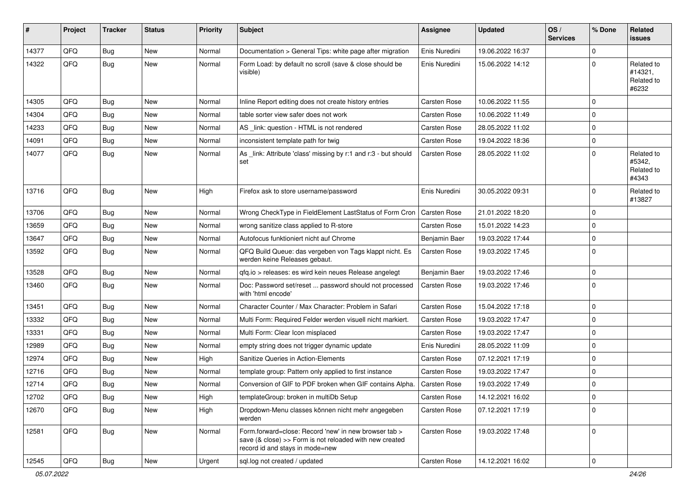| #     | Project | <b>Tracker</b> | <b>Status</b> | <b>Priority</b> | <b>Subject</b>                                                                                                                                      | Assignee            | <b>Updated</b>   | OS/<br><b>Services</b> | % Done              | Related<br><b>issues</b>                     |
|-------|---------|----------------|---------------|-----------------|-----------------------------------------------------------------------------------------------------------------------------------------------------|---------------------|------------------|------------------------|---------------------|----------------------------------------------|
| 14377 | QFQ     | <b>Bug</b>     | <b>New</b>    | Normal          | Documentation > General Tips: white page after migration                                                                                            | Enis Nuredini       | 19.06.2022 16:37 |                        | $\mathbf 0$         |                                              |
| 14322 | QFQ     | <b>Bug</b>     | New           | Normal          | Form Load: by default no scroll (save & close should be<br>visible)                                                                                 | Enis Nuredini       | 15.06.2022 14:12 |                        | $\mathbf 0$         | Related to<br>#14321,<br>Related to<br>#6232 |
| 14305 | QFQ     | Bug            | <b>New</b>    | Normal          | Inline Report editing does not create history entries                                                                                               | Carsten Rose        | 10.06.2022 11:55 |                        | $\mathbf 0$         |                                              |
| 14304 | QFQ     | <b>Bug</b>     | <b>New</b>    | Normal          | table sorter view safer does not work                                                                                                               | <b>Carsten Rose</b> | 10.06.2022 11:49 |                        | $\mathbf 0$         |                                              |
| 14233 | QFQ     | <b>Bug</b>     | <b>New</b>    | Normal          | AS _link: question - HTML is not rendered                                                                                                           | Carsten Rose        | 28.05.2022 11:02 |                        | $\mathbf 0$         |                                              |
| 14091 | QFQ     | <b>Bug</b>     | <b>New</b>    | Normal          | inconsistent template path for twig                                                                                                                 | <b>Carsten Rose</b> | 19.04.2022 18:36 |                        | $\mathbf 0$         |                                              |
| 14077 | QFQ     | <b>Bug</b>     | New           | Normal          | As _link: Attribute 'class' missing by r:1 and r:3 - but should<br>set                                                                              | <b>Carsten Rose</b> | 28.05.2022 11:02 |                        | $\mathbf 0$         | Related to<br>#5342,<br>Related to<br>#4343  |
| 13716 | QFQ     | <b>Bug</b>     | New           | High            | Firefox ask to store username/password                                                                                                              | Enis Nuredini       | 30.05.2022 09:31 |                        | $\mathbf 0$         | Related to<br>#13827                         |
| 13706 | QFQ     | <b>Bug</b>     | <b>New</b>    | Normal          | Wrong CheckType in FieldElement LastStatus of Form Cron                                                                                             | <b>Carsten Rose</b> | 21.01.2022 18:20 |                        | $\mathbf 0$         |                                              |
| 13659 | QFQ     | <b>Bug</b>     | <b>New</b>    | Normal          | wrong sanitize class applied to R-store                                                                                                             | Carsten Rose        | 15.01.2022 14:23 |                        | $\mathbf 0$         |                                              |
| 13647 | QFQ     | <b>Bug</b>     | New           | Normal          | Autofocus funktioniert nicht auf Chrome                                                                                                             | Benjamin Baer       | 19.03.2022 17:44 |                        | $\mathbf 0$         |                                              |
| 13592 | QFQ     | <b>Bug</b>     | New           | Normal          | QFQ Build Queue: das vergeben von Tags klappt nicht. Es<br>werden keine Releases gebaut.                                                            | <b>Carsten Rose</b> | 19.03.2022 17:45 |                        | $\mathbf 0$         |                                              |
| 13528 | QFQ     | <b>Bug</b>     | New           | Normal          | qfq.io > releases: es wird kein neues Release angelegt                                                                                              | Benjamin Baer       | 19.03.2022 17:46 |                        | $\mathbf 0$         |                                              |
| 13460 | QFQ     | <b>Bug</b>     | New           | Normal          | Doc: Password set/reset  password should not processed<br>with 'html encode'                                                                        | <b>Carsten Rose</b> | 19.03.2022 17:46 |                        | $\mathbf 0$         |                                              |
| 13451 | QFQ     | <b>Bug</b>     | <b>New</b>    | Normal          | Character Counter / Max Character: Problem in Safari                                                                                                | <b>Carsten Rose</b> | 15.04.2022 17:18 |                        | $\mathbf 0$         |                                              |
| 13332 | QFQ     | <b>Bug</b>     | <b>New</b>    | Normal          | Multi Form: Required Felder werden visuell nicht markiert.                                                                                          | <b>Carsten Rose</b> | 19.03.2022 17:47 |                        | $\mathbf 0$         |                                              |
| 13331 | QFQ     | <b>Bug</b>     | New           | Normal          | Multi Form: Clear Icon misplaced                                                                                                                    | <b>Carsten Rose</b> | 19.03.2022 17:47 |                        | $\mathbf 0$         |                                              |
| 12989 | QFQ     | <b>Bug</b>     | <b>New</b>    | Normal          | empty string does not trigger dynamic update                                                                                                        | Enis Nuredini       | 28.05.2022 11:09 |                        | $\mathbf 0$         |                                              |
| 12974 | QFQ     | <b>Bug</b>     | <b>New</b>    | High            | Sanitize Queries in Action-Elements                                                                                                                 | <b>Carsten Rose</b> | 07.12.2021 17:19 |                        | $\mathbf 0$         |                                              |
| 12716 | QFQ     | <b>Bug</b>     | New           | Normal          | template group: Pattern only applied to first instance                                                                                              | Carsten Rose        | 19.03.2022 17:47 |                        | $\pmb{0}$           |                                              |
| 12714 | QFQ     | <b>Bug</b>     | New           | Normal          | Conversion of GIF to PDF broken when GIF contains Alpha.                                                                                            | <b>Carsten Rose</b> | 19.03.2022 17:49 |                        | $\mathbf 0$         |                                              |
| 12702 | QFO     | <b>Bug</b>     | New           | High            | templateGroup: broken in multiDb Setup                                                                                                              | <b>Carsten Rose</b> | 14.12.2021 16:02 |                        | 0                   |                                              |
| 12670 | QFQ     | Bug            | New           | High            | Dropdown-Menu classes können nicht mehr angegeben<br>werden                                                                                         | Carsten Rose        | 07.12.2021 17:19 |                        | $\pmb{0}$           |                                              |
| 12581 | QFQ     | <b>Bug</b>     | New           | Normal          | Form.forward=close: Record 'new' in new browser tab ><br>save (& close) >> Form is not reloaded with new created<br>record id and stays in mode=new | Carsten Rose        | 19.03.2022 17:48 |                        | $\mathbf 0$         |                                              |
| 12545 | QFG     | <b>Bug</b>     | New           | Urgent          | sql.log not created / updated                                                                                                                       | Carsten Rose        | 14.12.2021 16:02 |                        | $\mathsf{O}\xspace$ |                                              |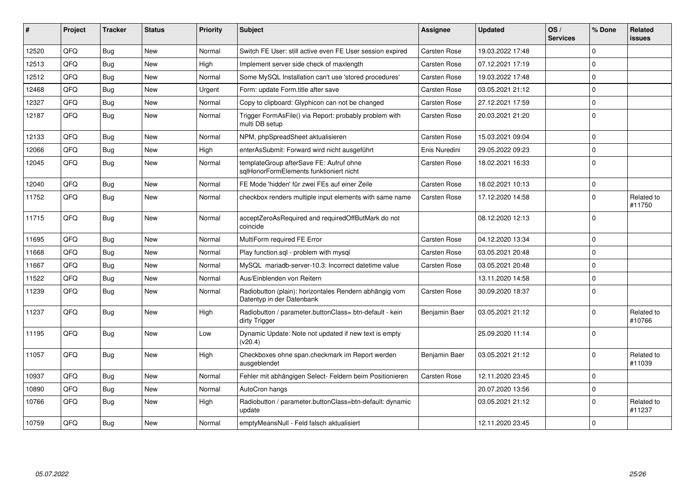| #     | <b>Project</b> | <b>Tracker</b> | <b>Status</b> | <b>Priority</b> | <b>Subject</b>                                                                      | Assignee            | <b>Updated</b>   | OS/<br><b>Services</b> | % Done       | Related<br><b>issues</b> |
|-------|----------------|----------------|---------------|-----------------|-------------------------------------------------------------------------------------|---------------------|------------------|------------------------|--------------|--------------------------|
| 12520 | QFQ            | <b>Bug</b>     | <b>New</b>    | Normal          | Switch FE User: still active even FE User session expired                           | <b>Carsten Rose</b> | 19.03.2022 17:48 |                        | $\Omega$     |                          |
| 12513 | QFQ            | <b>Bug</b>     | <b>New</b>    | High            | Implement server side check of maxlength                                            | <b>Carsten Rose</b> | 07.12.2021 17:19 |                        | 0            |                          |
| 12512 | QFQ            | <b>Bug</b>     | <b>New</b>    | Normal          | Some MySQL Installation can't use 'stored procedures'                               | <b>Carsten Rose</b> | 19.03.2022 17:48 |                        | $\Omega$     |                          |
| 12468 | QFQ            | <b>Bug</b>     | New           | Urgent          | Form: update Form.title after save                                                  | Carsten Rose        | 03.05.2021 21:12 |                        | $\Omega$     |                          |
| 12327 | QFQ            | Bug            | <b>New</b>    | Normal          | Copy to clipboard: Glyphicon can not be changed                                     | <b>Carsten Rose</b> | 27.12.2021 17:59 |                        | $\Omega$     |                          |
| 12187 | QFQ            | <b>Bug</b>     | <b>New</b>    | Normal          | Trigger FormAsFile() via Report: probably problem with<br>multi DB setup            | <b>Carsten Rose</b> | 20.03.2021 21:20 |                        | $\Omega$     |                          |
| 12133 | QFQ            | Bug            | <b>New</b>    | Normal          | NPM, phpSpreadSheet aktualisieren                                                   | <b>Carsten Rose</b> | 15.03.2021 09:04 |                        | $\Omega$     |                          |
| 12066 | QFQ            | Bug            | New           | High            | enterAsSubmit: Forward wird nicht ausgeführt                                        | Enis Nuredini       | 29.05.2022 09:23 |                        | 0            |                          |
| 12045 | QFQ            | <b>Bug</b>     | <b>New</b>    | Normal          | templateGroup afterSave FE: Aufruf ohne<br>sglHonorFormElements funktioniert nicht  | <b>Carsten Rose</b> | 18.02.2021 16:33 |                        | $\Omega$     |                          |
| 12040 | QFQ            | <b>Bug</b>     | <b>New</b>    | Normal          | FE Mode 'hidden' für zwei FEs auf einer Zeile                                       | <b>Carsten Rose</b> | 18.02.2021 10:13 |                        | 0            |                          |
| 11752 | QFQ            | <b>Bug</b>     | <b>New</b>    | Normal          | checkbox renders multiple input elements with same name                             | <b>Carsten Rose</b> | 17.12.2020 14:58 |                        | $\Omega$     | Related to<br>#11750     |
| 11715 | QFQ            | <b>Bug</b>     | <b>New</b>    | Normal          | acceptZeroAsRequired and requiredOffButMark do not<br>coincide                      |                     | 08.12.2020 12:13 |                        | $\Omega$     |                          |
| 11695 | OFO            | Bug            | <b>New</b>    | Normal          | MultiForm required FE Error                                                         | <b>Carsten Rose</b> | 04.12.2020 13:34 |                        | $\Omega$     |                          |
| 11668 | QFQ            | <b>Bug</b>     | <b>New</b>    | Normal          | Play function.sgl - problem with mysgl                                              | <b>Carsten Rose</b> | 03.05.2021 20:48 |                        | $\Omega$     |                          |
| 11667 | QFQ            | <b>Bug</b>     | <b>New</b>    | Normal          | MySQL mariadb-server-10.3: Incorrect datetime value                                 | <b>Carsten Rose</b> | 03.05.2021 20:48 |                        | $\Omega$     |                          |
| 11522 | QFQ            | <b>Bug</b>     | <b>New</b>    | Normal          | Aus/Einblenden von Reitern                                                          |                     | 13.11.2020 14:58 |                        | $\Omega$     |                          |
| 11239 | QFQ            | <b>Bug</b>     | <b>New</b>    | Normal          | Radiobutton (plain): horizontales Rendern abhängig vom<br>Datentyp in der Datenbank | <b>Carsten Rose</b> | 30.09.2020 18:37 |                        | $\Omega$     |                          |
| 11237 | QFQ            | <b>Bug</b>     | <b>New</b>    | High            | Radiobutton / parameter.buttonClass= btn-default - kein<br>dirty Trigger            | Benjamin Baer       | 03.05.2021 21:12 |                        | <sup>o</sup> | Related to<br>#10766     |
| 11195 | OFO            | <b>Bug</b>     | <b>New</b>    | Low             | Dynamic Update: Note not updated if new text is empty<br>(v20.4)                    |                     | 25.09.2020 11:14 |                        | $\Omega$     |                          |
| 11057 | QFQ            | <b>Bug</b>     | <b>New</b>    | High            | Checkboxes ohne span.checkmark im Report werden<br>ausgeblendet                     | Benjamin Baer       | 03.05.2021 21:12 |                        | $\Omega$     | Related to<br>#11039     |
| 10937 | QFQ            | <b>Bug</b>     | <b>New</b>    | Normal          | Fehler mit abhängigen Select- Feldern beim Positionieren                            | <b>Carsten Rose</b> | 12.11.2020 23:45 |                        | $\Omega$     |                          |
| 10890 | QFQ            | Bug            | <b>New</b>    | Normal          | AutoCron hangs                                                                      |                     | 20.07.2020 13:56 |                        | $\Omega$     |                          |
| 10766 | QFQ            | <b>Bug</b>     | <b>New</b>    | High            | Radiobutton / parameter.buttonClass=btn-default: dynamic<br>update                  |                     | 03.05.2021 21:12 |                        | $\Omega$     | Related to<br>#11237     |
| 10759 | QFQ            | Bug            | New           | Normal          | emptyMeansNull - Feld falsch aktualisiert                                           |                     | 12.11.2020 23:45 |                        | $\Omega$     |                          |